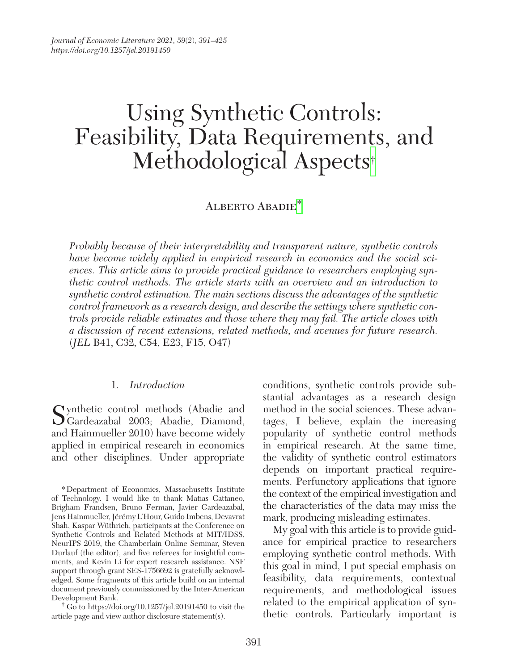# Using Synthetic Controls: Feasibility, Data Requiremen[ts](#page-0-0), and Methodological Aspects†

# ALBERTO ABADIE<sup>[\\*](#page-0-1)</sup>

*Probably because of their interpretability and transparent nature, synthetic controls have become widely applied in empirical research in economics and the social sciences. This article aims to provide practical guidance to researchers employing synthetic control methods. The article starts with an overview and an introduction to synthetic control estimation. The main sections discuss the advantages of the synthetic control framework as a research design, and describe the settings where synthetic controls provide reliable estimates and those where they may fail. The article closes with a discussion of recent extensions, related methods, and avenues for future research.*  (*JEL* B41, C32, C54, E23, F15, O47)

## 1. *Introduction*

Cynthetic control methods (Abadie and Gardeazabal 2003; Abadie, Diamond, and Hainmueller 2010) have become widely applied in empirical research in economics and other disciplines. Under appropriate

<span id="page-0-0"></span>Development Bank. † Go to <https://doi.org/10.1257/jel.20191450> to visit the article page and view author disclosure statement(s).

conditions, synthetic controls provide substantial advantages as a research design method in the social sciences. These advantages, I believe, explain the increasing popularity of synthetic control methods in empirical research. At the same time, the validity of synthetic control estimators depends on important practical requirements. Perfunctory applications that ignore the context of the empirical investigation and the characteristics of the data may miss the mark, producing misleading estimates.

My goal with this article is to provide guidance for empirical practice to researchers employing synthetic control methods. With this goal in mind, I put special emphasis on feasibility, data requirements, contextual requirements, and methodological issues related to the empirical application of synthetic controls. Particularly important is

<span id="page-0-1"></span><sup>\*</sup>Department of Economics, Massachusetts Institute of Technology. I would like to thank Matias Cattaneo, Brigham Frandsen, Bruno Ferman, Javier Gardeazabal, Jens Hainmueller, Jérémy L'Hour, Guido Imbens, Devavrat Shah, Kaspar Wüthrich, participants at the Conference on Synthetic Controls and Related Methods at MIT/IDSS, NeurIPS 2019, the Chamberlain Online Seminar, Steven Durlauf (the editor), and five referees for insightful comments, and Kevin Li for expert research assistance. NSF support through grant SES-1756692 is gratefully acknowledged. Some fragments of this article build on an internal document previously commissioned by the Inter-American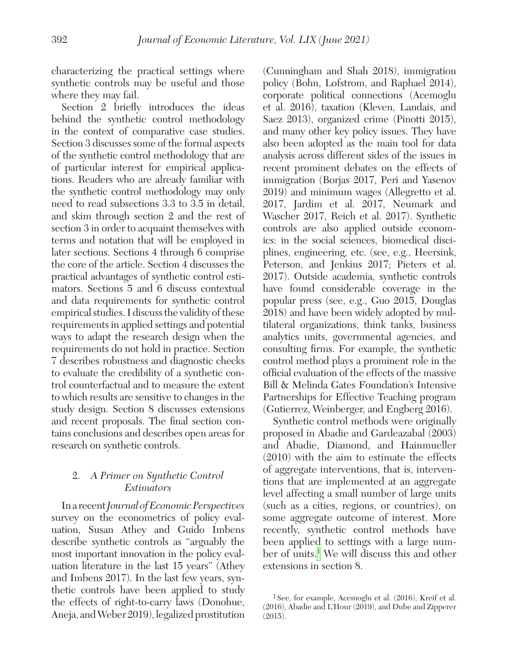characterizing the practical settings where synthetic controls may be useful and those where they may fail.

Section 2 briefly introduces the ideas behind the synthetic control methodology in the context of comparative case studies. Section 3 discusses some of the formal aspects of the synthetic control methodology that are of particular interest for empirical applications. Readers who are already familiar with the synthetic control methodology may only need to read subsections 3.3 to 3.5 in detail, and skim through section 2 and the rest of section 3 in order to acquaint themselves with terms and notation that will be employed in later sections. Sections 4 through 6 comprise the core of the article. Section 4 discusses the practical advantages of synthetic control estimators. Sections 5 and 6 discuss contextual and data requirements for synthetic control empirical studies. I discuss the validity of these requirements in applied settings and potential ways to adapt the research design when the requirements do not hold in practice. Section 7 describes robustness and diagnostic checks to evaluate the credibility of a synthetic control counterfactual and to measure the extent to which results are sensitive to changes in the study design. Section 8 discusses extensions and recent proposals. The final section contains conclusions and describes open areas for research on synthetic controls.

# 2. *A Primer on Synthetic Control Estimators*

In a recent *Journal of Economic Perspectives* survey on the econometrics of policy evaluation, Susan Athey and Guido Imbens describe synthetic controls as "arguably the most important innovation in the policy evaluation literature in the last 15 years" (Athey and Imbens 2017). In the last few years, synthetic controls have been applied to study the effects of right-to-carry laws (Donohue, Aneja, and Weber 2019), legalized prostitution (Cunningham and Shah 2018), immigration policy (Bohn, Lofstrom, and Raphael 2014), corporate political connections (Acemoglu et al. 2016), taxation (Kleven, Landais, and Saez 2013), organized crime (Pinotti 2015), and many other key policy issues. They have also been adopted as the main tool for data analysis across different sides of the issues in recent prominent debates on the effects of immigration (Borjas 2017, Peri and Yasenov 2019) and minimum wages (Allegretto et al. 2017, Jardim et al. 2017, Neumark and Wascher 2017, Reich et al. 2017). Synthetic controls are also applied outside economics: in the social sciences, biomedical disciplines, engineering, etc. (see, e.g., Heersink, Peterson, and Jenkins 2017; Pieters et al. 2017). Outside academia, synthetic controls have found considerable coverage in the popular press (see, e.g., Guo 2015, Douglas 2018) and have been widely adopted by multilateral organizations, think tanks, business analytics units, governmental agencies, and consulting firms. For example, the synthetic control method plays a prominent role in the official evaluation of the effects of the massive Bill & Melinda Gates Foundation's Intensive Partnerships for Effective Teaching program (Gutierrez, Weinberger, and Engberg 2016).

Synthetic control methods were originally proposed in Abadie and Gardeazabal (2003) and Abadie, Diamond, and Hainmueller (2010) with the aim to estimate the effects of aggregate interventions, that is, interventions that are implemented at an aggregate level affecting a small number of large units (such as a cities, regions, or countries), on some aggregate outcome of interest. More recently, synthetic control methods have been applied to settings with a large num-ber of units.<sup>[1](#page-1-0)</sup> We will discuss this and other extensions in section 8.

<span id="page-1-0"></span><sup>1</sup>See, for example, Acemoglu et al. (2016), Kreif et al. (2016), Abadie and L'Hour (2019), and Dube and Zipperer (2015).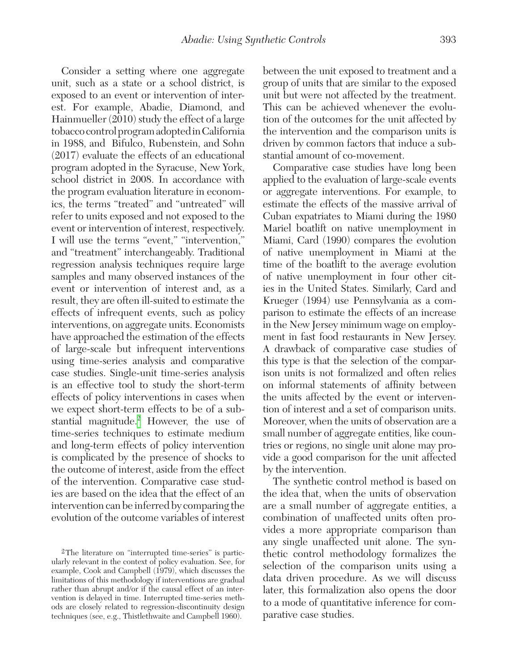Consider a setting where one aggregate unit, such as a state or a school district, is exposed to an event or intervention of interest. For example, Abadie, Diamond, and Hainmueller (2010) study the effect of a large tobacco control program adopted in California in 1988, and Bifulco, Rubenstein, and Sohn (2017) evaluate the effects of an educational program adopted in the Syracuse, New York, school district in 2008. In accordance with the program evaluation literature in economics, the terms "treated" and "untreated" will refer to units exposed and not exposed to the event or intervention of interest, respectively. I will use the terms "event," "intervention," and "treatment" interchangeably. Traditional regression analysis techniques require large samples and many observed instances of the event or intervention of interest and, as a result, they are often ill-suited to estimate the effects of infrequent events, such as policy interventions, on aggregate units. Economists have approached the estimation of the effects of large-scale but infrequent interventions using time-series analysis and comparative case studies. Single-unit time-series analysis is an effective tool to study the short-term effects of policy interventions in cases when we expect short-term effects to be of a substantial magnitude.<sup>2</sup> However, the use of time-series techniques to estimate medium and long-term effects of policy intervention is complicated by the presence of shocks to the outcome of interest, aside from the effect of the intervention. Comparative case studies are based on the idea that the effect of an intervention can be inferred by comparing the evolution of the outcome variables of interest

between the unit exposed to treatment and a group of units that are similar to the exposed unit but were not affected by the treatment. This can be achieved whenever the evolution of the outcomes for the unit affected by the intervention and the comparison units is driven by common factors that induce a substantial amount of co-movement.

Comparative case studies have long been applied to the evaluation of large-scale events or aggregate interventions. For example, to estimate the effects of the massive arrival of Cuban expatriates to Miami during the 1980 Mariel boatlift on native unemployment in Miami, Card (1990) compares the evolution of native unemployment in Miami at the time of the boatlift to the average evolution of native unemployment in four other cities in the United States. Similarly, Card and Krueger (1994) use Pennsylvania as a comparison to estimate the effects of an increase in the New Jersey minimum wage on employment in fast food restaurants in New Jersey. A drawback of comparative case studies of this type is that the selection of the comparison units is not formalized and often relies on informal statements of affinity between the units affected by the event or intervention of interest and a set of comparison units. Moreover, when the units of observation are a small number of aggregate entities, like countries or regions, no single unit alone may provide a good comparison for the unit affected by the intervention.

The synthetic control method is based on the idea that, when the units of observation are a small number of aggregate entities, a combination of unaffected units often provides a more appropriate comparison than any single unaffected unit alone. The synthetic control methodology formalizes the selection of the comparison units using a data driven procedure. As we will discuss later, this formalization also opens the door to a mode of quantitative inference for comparative case studies.

<span id="page-2-0"></span><sup>2</sup>The literature on "interrupted time-series" is particularly relevant in the context of policy evaluation. See, for example, Cook and Campbell (1979), which discusses the limitations of this methodology if interventions are gradual rather than abrupt and/or if the causal effect of an intervention is delayed in time. Interrupted time-series methods are closely related to regression-discontinuity design techniques (see, e.g., Thistlethwaite and Campbell 1960).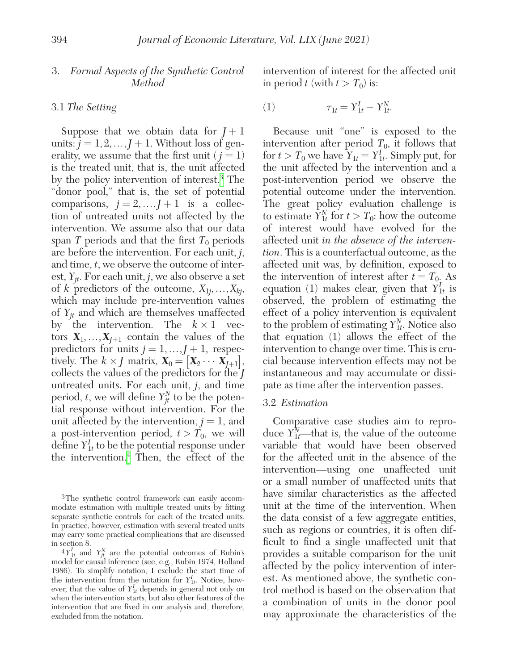# 3. *Formal Aspects of the Synthetic Control Method*

## 3.1 *The Setting*

Suppose that we obtain data for  $$ units:  $j = 1, 2, ..., J + 1$ . Without loss of generality, we assume that the first unit  $(j = 1)$ is the treated unit, that is, the unit affected by the policy intervention of interest[.3](#page-3-0) The "donor pool," that is, the set of potential comparisons,  $j = 2, ..., J + 1$  is a collection of untreated units not affected by the intervention. We assume also that our data span *T* periods and that the first  $T_0$  periods are before the intervention. For each unit, *j*, and time, *t*, we observe the outcome of interest,  $Y_{it}$ . For each unit, *j*, we also observe a set of *k* predictors of the outcome,  $X_{1j}, \ldots, X_{kj}$ , which may include pre-intervention values of  $Y_{it}$  and which are themselves unaffected by the intervention. The  $k \times 1$  vectors  $X_1, \ldots, X_{J+1}$  contain the values of the predictors for units  $j = 1, ..., J + 1$ , respectively. The  $k \times J$  matrix,  $\mathbf{X}_0 = [\mathbf{X}_2 \cdots \mathbf{X}_{J+1}],$ collects the values of the predictors for the *J* untreated units. For each unit, *j*, and time period, *t*, we will define  $Y_{jt}^N$  to be the potential response without intervention. For the unit affected by the intervention,  $j = 1$ , and a post-intervention period,  $t > T_0$ , we will define *Y*1*<sup>t</sup> <sup>I</sup>* to be the potential response under the intervention.[4](#page-3-1) Then, the effect of the intervention of interest for the affected unit in period *t* (with  $t > T_0$ ) is:

(1) 
$$
\tau_{1t} = Y_{1t}^I - Y_{1t}^N.
$$

Because unit "one" is exposed to the intervention after period  $T_0$ , it follows that for  $t > T_0$  we have  $Y_{1t} = Y_{1t}^I$ . Simply put, for the unit affected by the intervention and a post-intervention period we observe the potential outcome under the intervention. The great policy evaluation challenge is to estimate  $\tilde{Y}_{1t}^{N}$  for  $t > T_0$ : how the outcome of interest would have evolved for the affected unit *in the absence of the intervention*. This is a counterfactual outcome, as the affected unit was, by definition, exposed to the intervention of interest after  $t = T_0$ . As equation (1) makes clear, given that  $Y_{1t}^I$  is observed, the problem of estimating the effect of a policy intervention is equivalent to the problem of estimating  $Y_{1t}^N$ . Notice also that equation (1) allows the effect of the intervention to change over time. This is crucial because intervention effects may not be instantaneous and may accumulate or dissipate as time after the intervention passes.

#### 3.2 *Estimation*

Comparative case studies aim to reproduce  $Y_{1t}^N$ —that is, the value of the outcome variable that would have been observed for the affected unit in the absence of the intervention—using one unaffected unit or a small number of unaffected units that have similar characteristics as the affected unit at the time of the intervention. When the data consist of a few aggregate entities, such as regions or countries, it is often difficult to find a single unaffected unit that provides a suitable comparison for the unit affected by the policy intervention of interest. As mentioned above, the synthetic control method is based on the observation that a combination of units in the donor pool may approximate the characteristics of the

<span id="page-3-0"></span><sup>3</sup>The synthetic control framework can easily accommodate estimation with multiple treated units by fitting separate synthetic controls for each of the treated units. In practice, however, estimation with several treated units may carry some practical complications that are discussed in section 8.

<span id="page-3-1"></span> ${}^4Y_{1t}^I$  and  $Y_{jt}^N$  are the potential outcomes of Rubin's model for causal inference (see, e.g., Rubin 1974, Holland 1986). To simplify notation, I exclude the start time of the intervention from the notation for  $Y_{1t}^I$ . Notice, however, that the value of  $Y_{1t}^I$  depends in general not only on when the intervention starts, but also other features of the intervention that are fixed in our analysis and, therefore, excluded from the notation.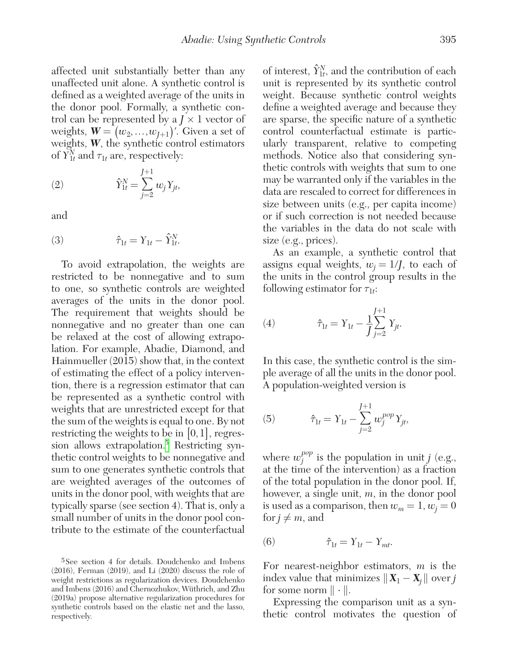affected unit substantially better than any unaffected unit alone. A synthetic control is defined as a weighted average of the units in the donor pool. Formally, a synthetic control can be represented by a  $J \times 1$  vector of weights,  $W = (w_2, ..., w_{J+1})'$ . Given a set of weights, *W*, the synthetic control estimators of  $\tilde{Y}_{1t}^{N}$  and  $\tau_{1t}$  are, respectively:

(2) 
$$
\hat{Y}_{1t}^{N} = \sum_{j=2}^{J+1} w_j Y_{jt},
$$

and

(3) 
$$
\hat{\tau}_{1t} = Y_{1t} - \hat{Y}_{1t}^{N}.
$$

To avoid extrapolation, the weights are restricted to be nonnegative and to sum to one, so synthetic controls are weighted averages of the units in the donor pool. The requirement that weights should be nonnegative and no greater than one can be relaxed at the cost of allowing extrapolation. For example, Abadie, Diamond, and Hainmueller (2015) show that, in the context of estimating the effect of a policy intervention, there is a regression estimator that can be represented as a synthetic control with weights that are unrestricted except for that the sum of the weights is equal to one. By not restricting the weights to be in  $[0,1]$ , regression allows extrapolation.<sup>5</sup> Restricting synthetic control weights to be nonnegative and sum to one generates synthetic controls that are weighted averages of the outcomes of units in the donor pool, with weights that are typically sparse (see section 4). That is, only a small number of units in the donor pool contribute to the estimate of the counterfactual

of interest,  $\hat{Y}_{1t}^{N}$ , and the contribution of each unit is represented by its synthetic control weight. Because synthetic control weights define a weighted average and because they are sparse, the specific nature of a synthetic control counterfactual estimate is particularly transparent, relative to competing methods. Notice also that considering synthetic controls with weights that sum to one may be warranted only if the variables in the data are rescaled to correct for differences in size between units (e.g., per capita income) or if such correction is not needed because the variables in the data do not scale with size (e.g., prices).

As an example, a synthetic control that assigns equal weights,  $w_i = 1/f$ , to each of the units in the control group results in the following estimator for  $\tau_{1t}$ :

(4) 
$$
\hat{\tau}_{1t} = Y_{1t} - \frac{1}{J} \sum_{j=2}^{J+1} Y_{jt}.
$$

In this case, the synthetic control is the simple average of all the units in the donor pool. A population-weighted version is

(5) 
$$
\hat{\tau}_{1t} = Y_{1t} - \sum_{j=2}^{J+1} w_j^{pop} Y_{jt},
$$

where  $w_j^{pop}$  is the population in unit *j* (e.g., at the time of the intervention) as a fraction of the total population in the donor pool. If, however, a single unit, *m*, in the donor pool is used as a comparison, then  $w_m = 1, w_j = 0$ for  $j \neq m$ , and

$$
(6) \qquad \qquad \hat{\tau}_{1t} = Y_{1t} - Y_{mt}.
$$

For nearest-neighbor estimators, *m* is the index value that minimizes  $||\mathbf{X}_1 - \mathbf{X}_j||$  over *j* for some norm  $\|\cdot\|$ .

Expressing the comparison unit as a synthetic control motivates the question of

<span id="page-4-0"></span><sup>5</sup>See section 4 for details. Doudchenko and Imbens (2016), Ferman (2019), and Li (2020) discuss the role of weight restrictions as regularization devices. Doudchenko and Imbens (2016) and Chernozhukov, Wüthrich, and Zhu (2019a) propose alternative regularization procedures for synthetic controls based on the elastic net and the lasso, respectively.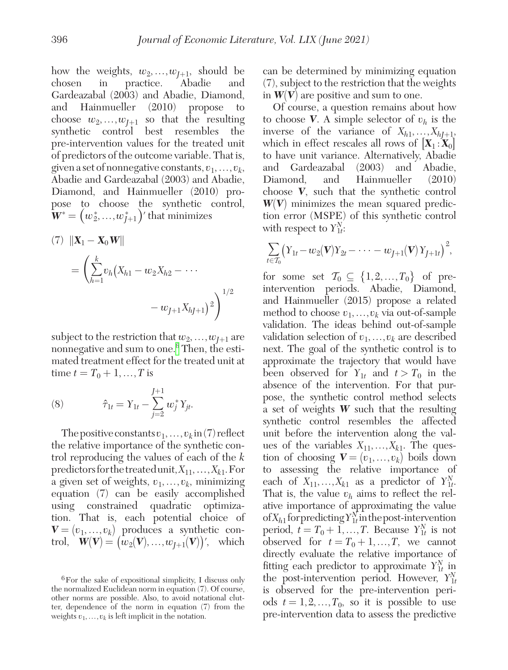how the weights,  $w_2, ..., w_{J+1}$ , should be chosen in practice. Abadie and in practice. Abadie and Gardeazabal (2003) and Abadie, Diamond, and Hainmueller (2010) propose to choose  $w_2, \ldots, w_{J+1}$  so that the resulting<br>synthetic control best resembles the synthetic control best resembles pre-intervention values for the treated unit of predictors of the outcome variable. That is, given a set of nonnegative constants,  $v_1, \ldots, v_k$ , Abadie and Gardeazabal (2003) and Abadie, Diamond, and Hainmueller (2010) propose to choose the synthetic control,  $\boldsymbol{W}^{\ast}=\left(w_{2}^{\ast},...,w_{J+1}^{\ast}\right)'$  that minimizes

(7) 
$$
\|\mathbf{X}_1 - \mathbf{X}_0 \mathbf{W}\|
$$
  
\n
$$
= \left(\sum_{h=1}^k v_h (X_{h1} - w_2 X_{h2} - \cdots - w_{J+1} X_{hJ+1})^2\right)^{1/2}
$$

subject to the restriction that  $w_2, \ldots, w_{J+1}$  are nonnegative and sum to one[.6](#page-5-0) Then, the estimated treatment effect for the treated unit at time  $t = T_0 + 1, ..., T$  is

(8) 
$$
\hat{\tau}_{1t} = Y_{1t} - \sum_{j=2}^{J+1} w_j^* Y_{jt}.
$$

The positive constants  $v_1, \ldots, v_k$  in (7) reflect the relative importance of the synthetic control reproducing the values of each of the *k* predictors for the treated unit,  $X_{11},...,X_{k1}$ . For a given set of weights,  $v_1, \ldots, v_k$ , minimizing equation (7) can be easily accomplished using constrained quadratic optimization. That is, each potential choice of  $\mathbf{V} = (v_1, \ldots, v_k)$  produces a synthetic control,  $\mathbf{W}(\mathbf{V}) = (w_2(\mathbf{V}),...,w_{I+1}(\mathbf{V}))'$ , which

can be determined by minimizing equation (7), subject to the restriction that the weights in  $W(V)$  are positive and sum to one.

Of course, a question remains about how to choose **V**. A simple selector of  $v_h$  is the inverse of the variance of  $X_{h1},...,X_{hJ+1}$ , which in effect rescales all rows of  $[X_1 : X_0]$ to have unit variance. Alternatively, Abadie and Gardeazabal (2003) and Abadie, Diamond, and Hainmueller (2010) choose *V*, such that the synthetic control *W*(*V*) minimizes the mean squared prediction error (MSPE) of this synthetic control with respect to  $Y_{1t}^N$ :

$$
\sum_{t \in \mathcal{T}_0} \bigl( Y_{1t} - w_2(\mathbf{V}) Y_{2t} - \cdots - w_{J+1}(\mathbf{V}) Y_{J+1t} \bigr)^2,
$$

for some set  $\mathcal{T}_0 \subseteq \{1, 2, ..., T_0\}$  of preintervention periods. Abadie, Diamond, and Hainmueller (2015) propose a related method to choose  $v_1, \ldots, v_k$  via out-of-sample validation. The ideas behind out-of-sample validation selection of  $v_1, \ldots, v_k$  are described next. The goal of the synthetic control is to approximate the trajectory that would have been observed for  $Y_{1t}$  and  $t > T_0$  in the absence of the intervention. For that purpose, the synthetic control method selects a set of weights *W* such that the resulting synthetic control resembles the affected unit before the intervention along the values of the variables  $X_{11},...,X_{k1}$ . The question of choosing  $V = (v_1, \ldots, v_k)$  boils down to assessing the relative importance of each of  $X_{11},...,X_{k1}$  as a predictor of  $Y_{1t}^N$ . That is, the value  $v_h$  aims to reflect the relative importance of approximating the value of  $X_{h1}$  for predicting  $Y_{1t}^N$  in the post-intervention period,  $\hat{t} = T_0 + 1, \dots, T$ . Because  $Y_{1t}^N$  is not observed for  $t = T_0 + 1, ..., T$ , we cannot directly evaluate the relative importance of fitting each predictor to approximate  $Y_{1t}^N$  in the post-intervention period. However,  $Y_{1t}^{N}$ is observed for the pre-intervention periods  $t = 1, 2, ..., T_0$ , so it is possible to use pre-intervention data to assess the predictive

<span id="page-5-0"></span><sup>6</sup>For the sake of expositional simplicity, I discuss only the normalized Euclidean norm in equation (7). Of course, other norms are possible. Also, to avoid notational clutter, dependence of the norm in equation (7) from the weights  $v_1, \ldots, v_k$  is left implicit in the notation.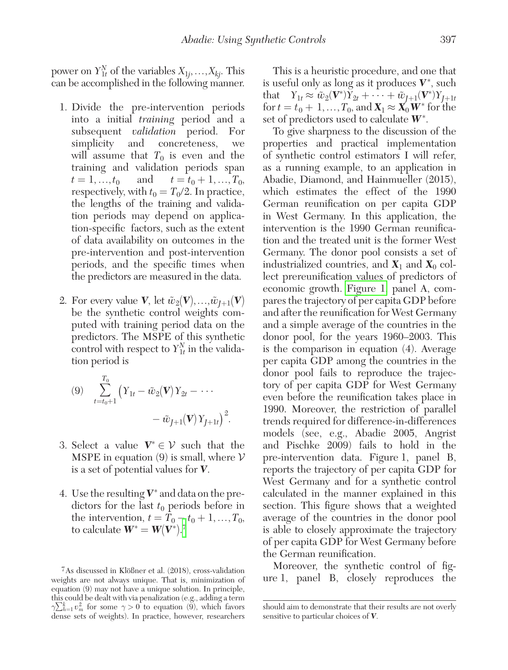power on  $Y_{1t}^{N}$  of the variables  $X_{1j},...,X_{kj}$ . This can be accomplished in the following manner.

- 1. Divide the pre-intervention periods into a initial *training* period and a subsequent *validation* period. For simplicity and concreteness, we will assume that  $T_0$  is even and the training and validation periods span  $t = 1, ..., t_0$  and  $t = t_0 + 1, ..., T_0$ respectively, with  $t_0 = T_0/2$ . In practice, the lengths of the training and validation periods may depend on application-specific factors, such as the extent of data availability on outcomes in the pre-intervention and post-intervention periods, and the specific times when the predictors are measured in the data.
- 2. For every value *V*, let  $\tilde{w}_2(V), \ldots, \tilde{w}_{J+1}(V)$ be the synthetic control weights computed with training period data on the predictors. The MSPE of this synthetic control with respect to  $Y_{1t}^N$  in the validation period is

(9) 
$$
\sum_{t=t_0+1}^{T_0} \left(Y_{1t} - \tilde{w}_2(\mathbf{V})Y_{2t} - \cdots -\tilde{w}_{J+1}(\mathbf{V})Y_{J+1t}\right)^2.
$$

- 3. Select a value  $V^* \in \mathcal{V}$  such that the MSPE in equation (9) is small, where  $\mathcal V$ is a set of potential values for *V*.
- 4. Use the resulting  $V^*$  and data on the predictors for the last  $t_0$  periods before in the intervention,  $t = T_0 - t_0 + 1, ..., T_0$ , to calculate  $\boldsymbol{W}^* = \boldsymbol{W}(\boldsymbol{V}^*).^7$  $\boldsymbol{W}^* = \boldsymbol{W}(\boldsymbol{V}^*).^7$

This is a heuristic procedure, and one that is useful only as long as it produces  $V^*$ , such that  $Y_{1t} \approx \tilde{w}_2(\mathbf{V}^*)Y_{2t} + \cdots + \tilde{w}_{J+1}(\mathbf{V}^*)Y_{J+1t}$ for  $t = t_0 + 1, ..., T_0$ , and  $\mathbf{X}_1 \approx \mathbf{X}_0 \mathbf{W}^*$  for the set of predictors used to calculate  $W^*$ .

To give sharpness to the discussion of the properties and practical implementation of synthetic control estimators I will refer, as a running example, to an application in Abadie, Diamond, and Hainmueller (2015), which estimates the effect of the 1990 German reunification on per capita GDP in West Germany. In this application, the intervention is the 1990 German reunification and the treated unit is the former West Germany. The donor pool consists a set of industrialized countries, and  $X_1$  and  $X_0$  collect prereunification values of predictors of economic growth. [Figure 1,](#page-7-0) panel A, compares the trajectory of per capita GDP before and after the reunification for West Germany and a simple average of the countries in the donor pool, for the years 1960–2003. This is the comparison in equation (4). Average per capita GDP among the countries in the donor pool fails to reproduce the trajectory of per capita GDP for West Germany even before the reunification takes place in 1990. Moreover, the restriction of parallel trends required for difference-in-differences models (see, e.g., Abadie 2005, Angrist and Pischke 2009) fails to hold in the pre-intervention data. Figure 1, panel B, reports the trajectory of per capita GDP for West Germany and for a synthetic control calculated in the manner explained in this section. This figure shows that a weighted average of the countries in the donor pool is able to closely approximate the trajectory of per capita GDP for West Germany before the German reunification.

Moreover, the synthetic control of figure 1, panel B, closely reproduces the

<span id="page-6-0"></span><sup>7</sup>As discussed in Klößner et al. (2018), cross-validation weights are not always unique. That is, minimization of equation (9) may not have a unique solution. In principle, this could be dealt with via penalization (e.g., adding a term  $\gamma \sum_{h=1}^{k} v_m^2$  for some  $\gamma > 0$  to equation (9), which favors dense sets of weights). In practice, however, researchers

should aim to demonstrate that their results are not overly sensitive to particular choices of *V*.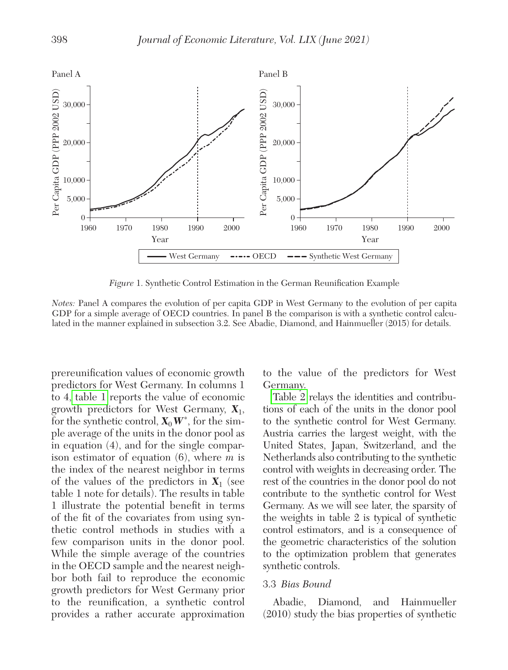<span id="page-7-0"></span>

*Figure* 1. Synthetic Control Estimation in the German Reunification Example

*Notes:* Panel A compares the evolution of per capita GDP in West Germany to the evolution of per capita GDP for a simple average of OECD countries. In panel B the comparison is with a synthetic control calculated in the manner explained in subsection 3.2. See Abadie, Diamond, and Hainmueller (2015) for details.

prereunification values of economic growth predictors for West Germany. In columns 1 to 4[, table 1](#page-8-0) reports the value of economic growth predictors for West Germany, *X*1, for the synthetic control,  $\mathbf{X}_0 \mathbf{W}^*$ , for the simple average of the units in the donor pool as in equation (4), and for the single comparison estimator of equation (6), where *m* is the index of the nearest neighbor in terms of the values of the predictors in  $X_1$  (see table 1 note for details). The results in table 1 illustrate the potential benefit in terms of the fit of the covariates from using synthetic control methods in studies with a few comparison units in the donor pool. While the simple average of the countries in the OECD sample and the nearest neighbor both fail to reproduce the economic growth predictors for West Germany prior to the reunification, a synthetic control provides a rather accurate approximation to the value of the predictors for West Germany.

[Table 2](#page-8-0) relays the identities and contributions of each of the units in the donor pool to the synthetic control for West Germany. Austria carries the largest weight, with the United States, Japan, Switzerland, and the Netherlands also contributing to the synthetic control with weights in decreasing order. The rest of the countries in the donor pool do not contribute to the synthetic control for West Germany. As we will see later, the sparsity of the weights in table 2 is typical of synthetic control estimators, and is a consequence of the geometric characteristics of the solution to the optimization problem that generates synthetic controls.

#### 3.3 *Bias Bound*

Abadie, Diamond, and Hainmueller (2010) study the bias properties of synthetic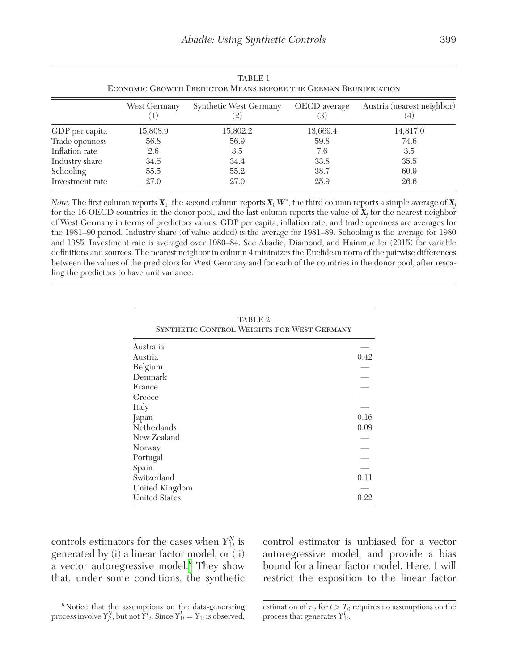<span id="page-8-0"></span>

| <b>TABLE 1</b><br>ECONOMIC GROWTH PREDICTOR MEANS BEFORE THE GERMAN REUNIFICATION |              |                             |                     |                                  |  |
|-----------------------------------------------------------------------------------|--------------|-----------------------------|---------------------|----------------------------------|--|
|                                                                                   | West Germany | Synthetic West Germany<br>2 | OECD average<br>(3) | Austria (nearest neighbor)<br>4. |  |
| GDP per capita                                                                    | 15,808.9     | 15,802.2                    | 13,669.4            | 14,817.0                         |  |
| Trade openness                                                                    | 56.8         | 56.9                        | 59.8                | 74.6                             |  |
| Inflation rate                                                                    | 2.6          | 3.5                         | 7.6                 | 3.5                              |  |
| Industry share                                                                    | 34.5         | 34.4                        | 33.8                | 35.5                             |  |
| Schooling                                                                         | 55.5         | 55.2                        | 38.7                | 60.9                             |  |
| Investment rate                                                                   | 27.0         | 27.0                        | 25.9                | 26.6                             |  |

*Note:* The first column reports  $X_1$ , the second column reports  $X_0W^*$ , the third column reports a simple average of  $X_j$ for the 16 OECD countries in the donor pool, and the last column reports the value of *X<sup>j</sup>* for the nearest neighbor of West Germany in terms of predictors values. GDP per capita, inflation rate, and trade openness are averages for the 1981–90 period. Industry share (of value added) is the average for 1981–89. Schooling is the average for 1980 and 1985. Investment rate is averaged over 1980–84. See Abadie, Diamond, and Hainmueller (2015) for variable definitions and sources. The nearest neighbor in column 4 minimizes the Euclidean norm of the pairwise differences between the values of the predictors for West Germany and for each of the countries in the donor pool, after rescaling the predictors to have unit variance.

| TABLE <sub>2</sub><br>SYNTHETIC CONTROL WEIGHTS FOR WEST GERMANY |      |  |  |
|------------------------------------------------------------------|------|--|--|
| Australia                                                        |      |  |  |
| Austria                                                          | 0.42 |  |  |
| Belgium                                                          |      |  |  |
| Denmark                                                          |      |  |  |
| France                                                           |      |  |  |
| Greece                                                           |      |  |  |
| Italy                                                            |      |  |  |
| Japan                                                            | 0.16 |  |  |
| Netherlands                                                      | 0.09 |  |  |
| New Zealand                                                      |      |  |  |
| Norway                                                           |      |  |  |
| Portugal                                                         |      |  |  |
| Spain                                                            |      |  |  |
| Switzerland                                                      | 0.11 |  |  |
| United Kingdom                                                   |      |  |  |
| <b>United States</b>                                             | 0.22 |  |  |

controls estimators for the cases when  $Y_{1t}^N$  is generated by (i) a linear factor model, or (ii) a vector autoregressive model[.8](#page-8-1) They show that, under some conditions, the synthetic

control estimator is unbiased for a vector autoregressive model, and provide a bias bound for a linear factor model. Here, I will restrict the exposition to the linear factor

<span id="page-8-1"></span><sup>8</sup>Notice that the assumptions on the data-generating process involve  $Y_{jt}^N$ , but not  $\hat{Y}_{1t}^I$ . Since  $Y_{1t}^I = Y_{1t}$  is observed,

estimation of  $\tau_{1t}$  for  $t > T_0$  requires no assumptions on the process that generates  $Y_{1t}^I$ .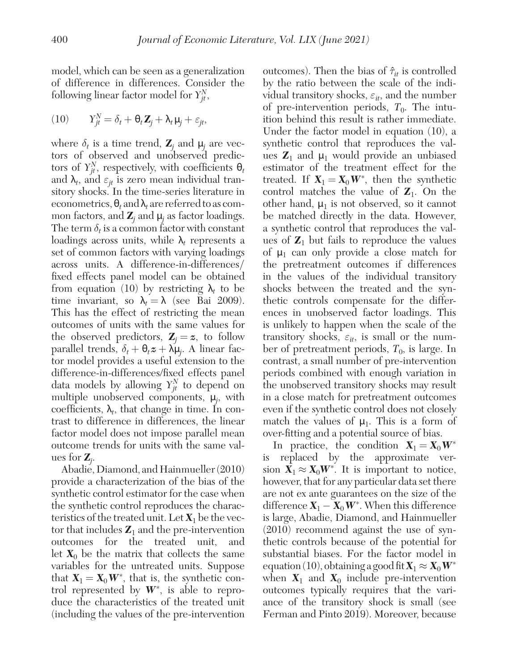model, which can be seen as a generalization of difference in differences. Consider the following linear factor model for  $Y_{jt}^N$ ,

(10) 
$$
Y_{jt}^N = \delta_t + \mathbf{\theta}_t \mathbf{Z}_j + \lambda_t \mathbf{\mu}_j + \varepsilon_{jt},
$$

where  $\delta_t$  is a time trend,  $\mathbf{Z}_j$  and  $\boldsymbol{\mu}_j$  are vectors of observed and unobserved predictors of  $Y_{jt}^N$ , respectively, with coefficients  $\theta_t$ and  $\lambda_t$ , and  $\varepsilon_{it}$  is zero mean individual transitory shocks. In the time-series literature in econometrics,  $\theta_t$  and  $\lambda_t$  are referred to as common factors, and  $\mathbf{Z}_j$  and  $\boldsymbol{\mu}_j$  as factor loadings. The term  $\delta_t$  is a common factor with constant loadings across units, while  $\lambda_t$  represents a set of common factors with varying loadings across units. A difference-in-differences/ fixed effects panel model can be obtained from equation (10) by restricting  $\lambda_t$  to be time invariant, so  $\lambda_t = \lambda$  (see Bai 2009). This has the effect of restricting the mean outcomes of units with the same values for the observed predictors,  $\mathbf{Z}_i = \mathbf{z}$ , to follow parallel trends,  $\delta_t + \Theta_t \boldsymbol{z} + \lambda \boldsymbol{\mu}_j$ . A linear factor model provides a useful extension to the difference-in-differences/fixed effects panel data models by allowing  $Y_{jt}^N$  to depend on multiple unobserved components, μ*<sup>j</sup>* , with coefficients,  $\lambda_t$ , that change in time. In contrast to difference in differences, the linear factor model does not impose parallel mean outcome trends for units with the same values for *Z<sup>j</sup>* .

Abadie, Diamond, and Hainmueller (2010) provide a characterization of the bias of the synthetic control estimator for the case when the synthetic control reproduces the characteristics of the treated unit. Let  $X_1$  be the vector that includes  $\mathbf{Z}_1$  and the pre-intervention outcomes for the treated unit, and let  $X_0$  be the matrix that collects the same variables for the untreated units. Suppose that  $X_1 = X_0 W^*$ , that is, the synthetic control represented by  $W^*$ , is able to reproduce the characteristics of the treated unit (including the values of the pre-intervention outcomes). Then the bias of  $\hat{\tau}_{it}$  is controlled by the ratio between the scale of the individual transitory shocks,  $\varepsilon_{it}$ , and the number of pre-intervention periods,  $T_0$ . The intuition behind this result is rather immediate. Under the factor model in equation (10), a synthetic control that reproduces the values  $\mathbb{Z}_1$  and  $\mu_1$  would provide an unbiased estimator of the treatment effect for the treated. If  $X_1 = X_0 W^*$ , then the synthetic control matches the value of  $Z_1$ . On the other hand,  $\mu_1$  is not observed, so it cannot be matched directly in the data. However, a synthetic control that reproduces the values of  $\mathbf{Z}_1$  but fails to reproduce the values of  $\mu_1$  can only provide a close match for the pretreatment outcomes if differences in the values of the individual transitory shocks between the treated and the synthetic controls compensate for the differences in unobserved factor loadings. This is unlikely to happen when the scale of the transitory shocks,  $\varepsilon_{it}$ , is small or the number of pretreatment periods,  $T_0$ , is large. In contrast, a small number of pre-intervention periods combined with enough variation in the unobserved transitory shocks may result in a close match for pretreatment outcomes even if the synthetic control does not closely match the values of  $\mu_1$ . This is a form of over-fitting and a potential source of bias.

In practice, the condition  $X_1 = X_0 W^*$ is replaced by the approximate version  $X_1 \approx X_0 W^*$ . It is important to notice, however, that for any particular data set there are not ex ante guarantees on the size of the difference  $X_1 - X_0 W^*$ . When this difference is large, Abadie, Diamond, and Hainmueller (2010) recommend against the use of synthetic controls because of the potential for substantial biases. For the factor model in equation (10), obtaining a good fit  $X_1 \approx X_0 W^*$ when  $X_1$  and  $X_0$  include pre-intervention outcomes typically requires that the variance of the transitory shock is small (see Ferman and Pinto 2019). Moreover, because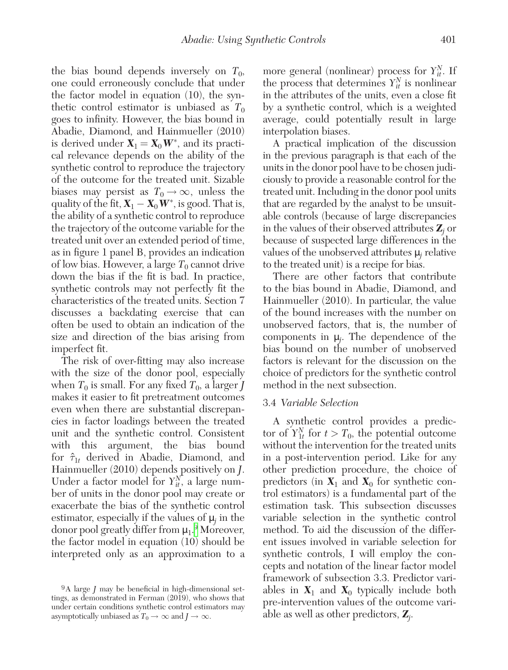the bias bound depends inversely on  $T_0$ , one could erroneously conclude that under the factor model in equation (10), the synthetic control estimator is unbiased as  $T_0$ goes to infinity. However, the bias bound in Abadie, Diamond, and Hainmueller (2010) is derived under  $X_1 = X_0 W^*$ , and its practical relevance depends on the ability of the synthetic control to reproduce the trajectory of the outcome for the treated unit. Sizable biases may persist as  $T_0 \rightarrow \infty$ , unless the quality of the fit,  $X_1 - X_0 W^*$ , is good. That is, the ability of a synthetic control to reproduce the trajectory of the outcome variable for the treated unit over an extended period of time, as in figure 1 panel B, provides an indication of low bias. However, a large  $T_0$  cannot drive down the bias if the fit is bad. In practice, synthetic controls may not perfectly fit the characteristics of the treated units. Section 7 discusses a backdating exercise that can often be used to obtain an indication of the size and direction of the bias arising from imperfect fit.

The risk of over-fitting may also increase with the size of the donor pool, especially when  $T_0$  is small. For any fixed  $T_0$ , a larger *J* makes it easier to fit pretreatment outcomes even when there are substantial discrepancies in factor loadings between the treated unit and the synthetic control. Consistent with this argument, the bias bound for  $\hat{\tau}_{1t}$  derived in Abadie, Diamond, and Hainmueller (2010) depends positively on *J*. Under a factor model for  $Y_{it}^N$ , a large number of units in the donor pool may create or exacerbate the bias of the synthetic control estimator, especially if the values of  $\mu_j$  in the donor pool greatly differ from  $\mu_1$ .<sup>[9](#page-10-0)</sup> Moreover, the factor model in equation (10) should be interpreted only as an approximation to a

more general (nonlinear) process for  $Y_{it}^N$ . If the process that determines  $Y_{it}^N$  is nonlinear in the attributes of the units, even a close fit by a synthetic control, which is a weighted average, could potentially result in large interpolation biases.

A practical implication of the discussion in the previous paragraph is that each of the units in the donor pool have to be chosen judiciously to provide a reasonable control for the treated unit. Including in the donor pool units that are regarded by the analyst to be unsuitable controls (because of large discrepancies in the values of their observed attributes *Z<sup>j</sup>* or because of suspected large differences in the values of the unobserved attributes μ*<sup>j</sup>* relative to the treated unit) is a recipe for bias.

There are other factors that contribute to the bias bound in Abadie, Diamond, and Hainmueller (2010). In particular, the value of the bound increases with the number on unobserved factors, that is, the number of components in  $\mu_j$ . The dependence of the bias bound on the number of unobserved factors is relevant for the discussion on the choice of predictors for the synthetic control method in the next subsection.

# 3.4 *Variable Selection*

A synthetic control provides a predictor of  $Y_{1t}^N$  for  $t > T_0$ , the potential outcome without the intervention for the treated units in a post-intervention period. Like for any other prediction procedure, the choice of predictors (in  $X_1$  and  $X_0$  for synthetic control estimators) is a fundamental part of the estimation task. This subsection discusses variable selection in the synthetic control method. To aid the discussion of the different issues involved in variable selection for synthetic controls, I will employ the concepts and notation of the linear factor model framework of subsection 3.3. Predictor variables in  $X_1$  and  $X_0$  typically include both pre-intervention values of the outcome variable as well as other predictors, *Z<sup>j</sup>* .

<span id="page-10-0"></span><sup>9</sup>A large *J* may be beneficial in high-dimensional settings, as demonstrated in Ferman (2019), who shows that under certain conditions synthetic control estimators may asymptotically unbiased as  $T_0 \to \infty$  and  $J \to \infty$ .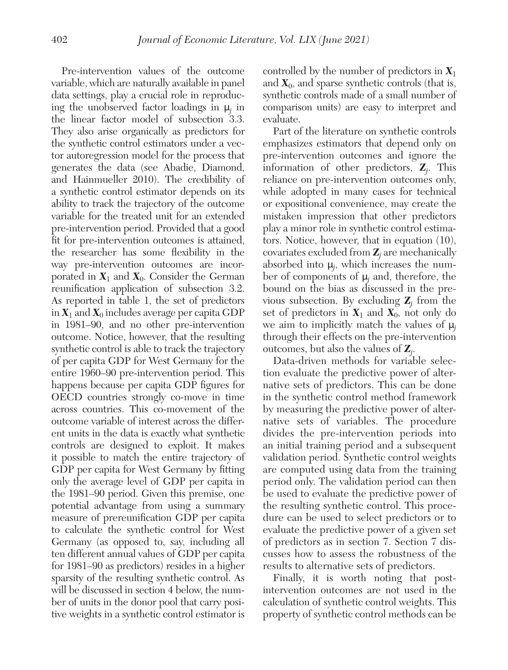Pre-intervention values of the outcome variable, which are naturally available in panel data settings, play a crucial role in reproducing the unobserved factor loadings in  $\mu_j$  in the linear factor model of subsection 3.3. They also arise organically as predictors for the synthetic control estimators under a vector autoregression model for the process that generates the data (see Abadie, Diamond, and Hainmueller 2010). The credibility of a synthetic control estimator depends on its ability to track the trajectory of the outcome variable for the treated unit for an extended pre-intervention period. Provided that a good fit for pre-intervention outcomes is attained, the researcher has some flexibility in the way pre-intervention outcomes are incorporated in  $X_1$  and  $X_0$ . Consider the German reunification application of subsection 3.2. As reported in table 1, the set of predictors in  $X_1$  and  $X_0$  includes average per capita GDP in 1981–90, and no other pre-intervention outcome. Notice, however, that the resulting synthetic control is able to track the trajectory of per capita GDP for West Germany for the entire 1960–90 pre-intervention period. This happens because per capita GDP figures for OECD countries strongly co-move in time across countries. This co-movement of the outcome variable of interest across the different units in the data is exactly what synthetic controls are designed to exploit. It makes it possible to match the entire trajectory of GDP per capita for West Germany by fitting only the average level of GDP per capita in the 1981–90 period. Given this premise, one potential advantage from using a summary measure of prereunification GDP per capita to calculate the synthetic control for West Germany (as opposed to, say, including all ten different annual values of GDP per capita for 1981–90 as predictors) resides in a higher sparsity of the resulting synthetic control. As will be discussed in section 4 below, the number of units in the donor pool that carry positive weights in a synthetic control estimator is

controlled by the number of predictors in *X*<sup>1</sup> and  $X_0$ , and sparse synthetic controls (that is, synthetic controls made of a small number of comparison units) are easy to interpret and evaluate.

Part of the literature on synthetic controls emphasizes estimators that depend only on pre-intervention outcomes and ignore the information of other predictors, *Z<sup>j</sup>* . This reliance on pre-intervention outcomes only, while adopted in many cases for technical or expositional convenience, may create the mistaken impression that other predictors play a minor role in synthetic control estimators. Notice, however, that in equation (10), covariates excluded from  $Z_j$  are mechanically absorbed into  $\mu_j$ , which increases the number of components of μ*<sup>j</sup>* and, therefore, the bound on the bias as discussed in the previous subsection. By excluding  $Z_j$  from the set of predictors in  $X_1$  and  $X_0$ , not only do we aim to implicitly match the values of μ*<sup>j</sup>* through their effects on the pre-intervention outcomes, but also the values of *Z<sup>j</sup>* .

Data-driven methods for variable selection evaluate the predictive power of alternative sets of predictors. This can be done in the synthetic control method framework by measuring the predictive power of alternative sets of variables. The procedure divides the pre-intervention periods into an initial training period and a subsequent validation period. Synthetic control weights are computed using data from the training period only. The validation period can then be used to evaluate the predictive power of the resulting synthetic control. This procedure can be used to select predictors or to evaluate the predictive power of a given set of predictors as in section 7. Section 7 discusses how to assess the robustness of the results to alternative sets of predictors.

Finally, it is worth noting that postintervention outcomes are not used in the calculation of synthetic control weights. This property of synthetic control methods can be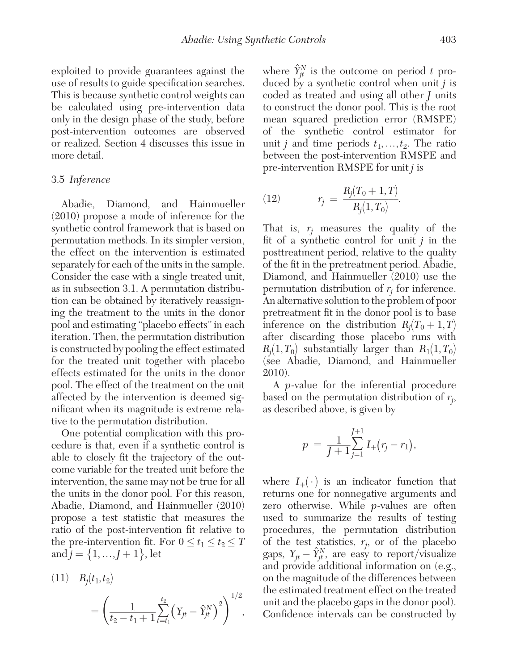exploited to provide guarantees against the use of results to guide specification searches. This is because synthetic control weights can be calculated using pre-intervention data only in the design phase of the study, before post-intervention outcomes are observed or realized. Section 4 discusses this issue in more detail.

## 3.5 *Inference*

Abadie, Diamond, and Hainmueller (2010) propose a mode of inference for the synthetic control framework that is based on permutation methods. In its simpler version, the effect on the intervention is estimated separately for each of the units in the sample. Consider the case with a single treated unit, as in subsection 3.1. A permutation distribution can be obtained by iteratively reassigning the treatment to the units in the donor pool and estimating "placebo effects" in each iteration. Then, the permutation distribution is constructed by pooling the effect estimated for the treated unit together with placebo effects estimated for the units in the donor pool. The effect of the treatment on the unit affected by the intervention is deemed significant when its magnitude is extreme relative to the permutation distribution.

One potential complication with this procedure is that, even if a synthetic control is able to closely fit the trajectory of the outcome variable for the treated unit before the intervention, the same may not be true for all the units in the donor pool. For this reason, Abadie, Diamond, and Hainmueller (2010) propose a test statistic that measures the ratio of the post-intervention fit relative to the pre-intervention fit. For  $0 \le t_1 \le t_2 \le T$ 

the pre-interpretation it. For 
$$
0 \le t_1 \le t_2 \le 1
$$
  
and  $j = \{1, ..., J + 1\}$ , let  
(11)  $R_j(t_1, t_2)$   

$$
= \left(\frac{1}{t_2 - t_1 + 1} \sum_{t=t_1}^{t_2} (Y_{jt} - \hat{Y}_{jt}^N)^2\right)^{1/2},
$$

where  $\hat{Y}_{jt}^N$  is the outcome on period t produced by a synthetic control when unit *j* is coded as treated and using all other *J* units to construct the donor pool. This is the root mean squared prediction error (RMSPE) of the synthetic control estimator for unit *j* and time periods  $t_1, \ldots, t_2$ . The ratio between the post-intervention RMSPE and pre-intervention RMSPE for unit *j* is

(12) 
$$
r_j = \frac{R_j(T_0 + 1, T)}{R_j(1, T_0)}.
$$

That is,  $r_j$  measures the quality of the fit of a synthetic control for unit *j* in the posttreatment period, relative to the quality of the fit in the pretreatment period. Abadie, Diamond, and Hainmueller (2010) use the permutation distribution of  $r_j$  for inference. An alternative solution to the problem of poor pretreatment fit in the donor pool is to base inference on the distribution  $R_i(T_0 + 1, T)$ after discarding those placebo runs with  $R_i(1, T_0)$  substantially larger than  $R_1(1, T_0)$ (see Abadie, Diamond, and Hainmueller 2010).

A *p*-value for the inferential procedure based on the permutation distribution of *rj* ,

as described above, is given by  
\n
$$
p = \frac{1}{J+1} \sum_{j=1}^{J+1} I_{+}(r_{j} - r_{1}),
$$

where  $I_+(\cdot)$  is an indicator function that returns one for nonnegative arguments and zero otherwise. While *p*-values are often used to summarize the results of testing procedures, the permutation distribution of the test statistics,  $r_j$ , or of the placebo gaps,  $Y_{jt} - \hat{Y}_{jt}^N$ , are easy to report/visualize and provide additional information on (e.g., on the magnitude of the differences between the estimated treatment effect on the treated unit and the placebo gaps in the donor pool). Confidence intervals can be constructed by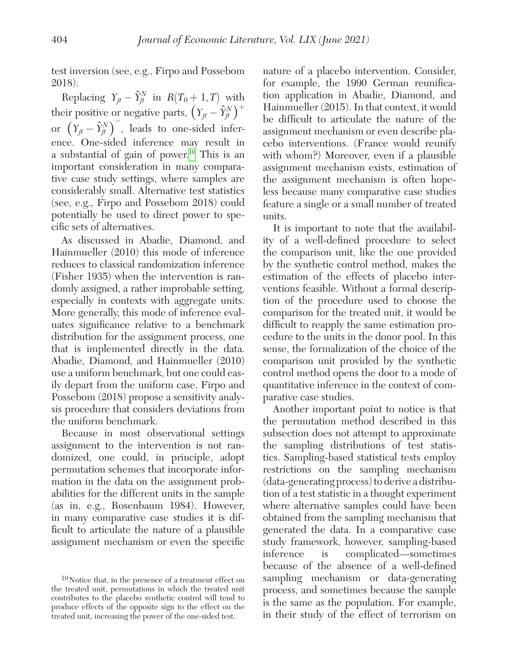test inversion (see, e.g., Firpo and Possebom 2018).

Replacing  $Y_{jt} - \hat{Y}_{jt}^N$  in  $R(T_0 + 1, T)$  with their positive or negative parts,  $\left(Y_{jt} - \hat{Y}_{jt}^N\right)^+$ or  $(Y_{jt} - \hat{Y}_{jt}^N)$ , leads to one-sided inference. One-sided inference may result in a substantial of gain of power.<sup>[10](#page-13-0)</sup> This is an important consideration in many comparative case study settings, where samples are considerably small. Alternative test statistics (see, e.g., Firpo and Possebom 2018) could potentially be used to direct power to specific sets of alternatives.

As discussed in Abadie, Diamond, and Hainmueller (2010) this mode of inference reduces to classical randomization inference (Fisher 1935) when the intervention is randomly assigned, a rather improbable setting, especially in contexts with aggregate units. More generally, this mode of inference evaluates significance relative to a benchmark distribution for the assignment process, one that is implemented directly in the data. Abadie, Diamond, and Hainmueller (2010) use a uniform benchmark, but one could easily depart from the uniform case. Firpo and Possebom (2018) propose a sensitivity analysis procedure that considers deviations from the uniform benchmark.

Because in most observational settings assignment to the intervention is not randomized, one could, in principle, adopt permutation schemes that incorporate information in the data on the assignment probabilities for the different units in the sample (as in, e.g., Rosenbaum 1984). However, in many comparative case studies it is difficult to articulate the nature of a plausible assignment mechanism or even the specific

nature of a placebo intervention. Consider, for example, the 1990 German reunification application in Abadie, Diamond, and Hainmueller (2015). In that context, it would be difficult to articulate the nature of the assignment mechanism or even describe placebo interventions. (France would reunify with whom?) Moreover, even if a plausible assignment mechanism exists, estimation of the assignment mechanism is often hopeless because many comparative case studies feature a single or a small number of treated units.

It is important to note that the availability of a well-defined procedure to select the comparison unit, like the one provided by the synthetic control method, makes the estimation of the effects of placebo interventions feasible. Without a formal description of the procedure used to choose the comparison for the treated unit, it would be difficult to reapply the same estimation procedure to the units in the donor pool. In this sense, the formalization of the choice of the comparison unit provided by the synthetic control method opens the door to a mode of quantitative inference in the context of comparative case studies.

Another important point to notice is that the permutation method described in this subsection does not attempt to approximate the sampling distributions of test statistics. Sampling-based statistical tests employ restrictions on the sampling mechanism (data-generating process) to derive a distribution of a test statistic in a thought experiment where alternative samples could have been obtained from the sampling mechanism that generated the data. In a comparative case study framework, however, sampling-based inference is complicated—sometimes because of the absence of a well-defined sampling mechanism or data-generating process, and sometimes because the sample is the same as the population. For example, in their study of the effect of terrorism on

<span id="page-13-0"></span><sup>10</sup>Notice that, in the presence of a treatment effect on the treated unit, permutations in which the treated unit contributes to the placebo synthetic control will tend to produce effects of the opposite sign to the effect on the treated unit, increasing the power of the one-sided test.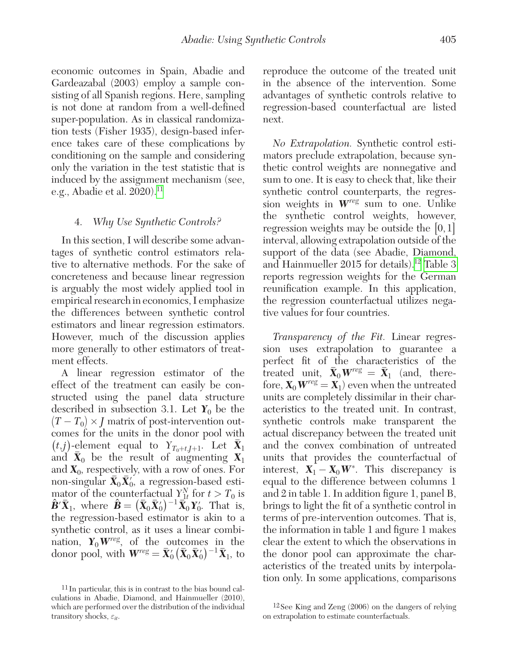economic outcomes in Spain, Abadie and Gardeazabal (2003) employ a sample consisting of all Spanish regions. Here, sampling is not done at random from a well-defined super-population. As in classical randomization tests (Fisher 1935), design-based inference takes care of these complications by conditioning on the sample and considering only the variation in the test statistic that is induced by the assignment mechanism (see, e.g., Abadie et al.  $2020$ .<sup>11</sup>

#### 4. *Why Use Synthetic Controls?*

In this section, I will describe some advantages of synthetic control estimators relative to alternative methods. For the sake of concreteness and because linear regression is arguably the most widely applied tool in empirical research in economics, I emphasize the differences between synthetic control estimators and linear regression estimators. However, much of the discussion applies more generally to other estimators of treatment effects.

A linear regression estimator of the effect of the treatment can easily be constructed using the panel data structure described in subsection 3.1. Let  $Y_0$  be the  $(T - T_0) \times I$  matrix of post-intervention outcomes for the units in the donor pool with  $(t,j)$ -element equal to  $Y_{T_0+t,j+1}$ . Let  $X_1$ and  $X_0$  be the result of augmenting  $X_1$ and  $X_0$ , respectively, with a row of ones. For  $\lim_{\delta \to 0} \mathbf{x}_0 \cdot \mathbf{y} = \n\text{Log-}\mathbf{x}$  $'_{0}$ , a regression-based estimator of the counterfactual  $Y_{1t}^N$  for  $t > T_0$  is  $\hat{\mathbf{B}}' \overline{\mathbf{X}}_1$ , where  $\hat{\mathbf{B}} = (\overline{\mathbf{X}}_0 \overline{\mathbf{X}}_0')^{-1} \overline{\mathbf{X}}_0 \mathbf{Y}_0'$ . That is, the regression-based estimator is akin to a synthetic control, as it uses a linear combination,  $Y_0 W^{reg}$ , of the outcomes in the donor pool, with  $\mathbf{W}^{reg} = \mathbf{\bar{X}}_0' (\mathbf{\bar{X}}_0 \mathbf{\bar{X}}_0')^{-1} \mathbf{\bar{X}}_1$ , to

reproduce the outcome of the treated unit in the absence of the intervention. Some advantages of synthetic controls relative to regression-based counterfactual are listed next.

*No Extrapolation.* Synthetic control estimators preclude extrapolation, because synthetic control weights are nonnegative and sum to one. It is easy to check that, like their synthetic control counterparts, the regression weights in *Wreg* sum to one. Unlike the synthetic control weights, however, regression weights may be outside the  $[0, 1]$ interval, allowing extrapolation outside of the support of the data (see Abadie, Diamond, and Hainmueller 2015 for details)[.12](#page-14-1) [Table 3](#page-15-0)  reports regression weights for the German reunification example. In this application, the regression counterfactual utilizes negative values for four countries.

*Transparency of the Fit.* Linear regression uses extrapolation to guarantee a perfect fit of the characteristics of the treated unit,  $\bar{\mathbf{X}}_0 \mathbf{W}^{reg} = \bar{\mathbf{X}}_1$  (and, therefore,  $\mathbf{X}_0 \mathbf{W}^{\text{reg}} = \mathbf{X}_1$  even when the untreated units are completely dissimilar in their characteristics to the treated unit. In contrast, synthetic controls make transparent the actual discrepancy between the treated unit and the convex combination of untreated units that provides the counterfactual of interest,  $X_1 - X_0 W^*$ . This discrepancy is equal to the difference between columns 1 and 2 in table 1. In addition figure 1, panel B, brings to light the fit of a synthetic control in terms of pre-intervention outcomes. That is, the information in table 1 and figure 1 makes clear the extent to which the observations in the donor pool can approximate the characteristics of the treated units by interpolation only. In some applications, comparisons

<span id="page-14-0"></span><sup>11</sup> In particular, this is in contrast to the bias bound calculations in Abadie, Diamond, and Hainmueller (2010), which are performed over the distribution of the individual transitory shocks, ε*it*.

<span id="page-14-1"></span><sup>12</sup>See King and Zeng (2006) on the dangers of relying on extrapolation to estimate counterfactuals.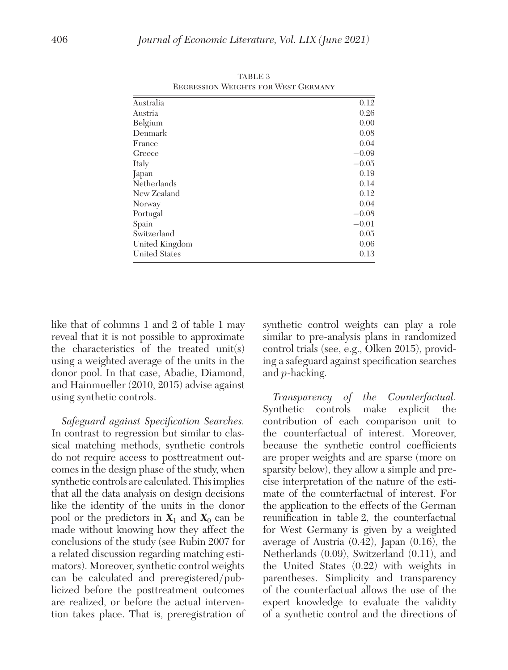<span id="page-15-0"></span>

| TUD PRI<br><b>REGRESSION WEIGHTS FOR WEST GERMANY</b> |         |  |  |
|-------------------------------------------------------|---------|--|--|
| Australia                                             | 0.12    |  |  |
| Austria                                               | 0.26    |  |  |
| Belgium                                               | 0.00    |  |  |
| Denmark                                               | 0.08    |  |  |
| France                                                | 0.04    |  |  |
| Greece                                                | $-0.09$ |  |  |
| Italy                                                 | $-0.05$ |  |  |
| Japan                                                 | 0.19    |  |  |
| Netherlands                                           | 0.14    |  |  |
| New Zealand                                           | 0.12    |  |  |
| Norway                                                | 0.04    |  |  |
| Portugal                                              | $-0.08$ |  |  |
| Spain                                                 | $-0.01$ |  |  |
| Switzerland                                           | 0.05    |  |  |
| United Kingdom                                        | 0.06    |  |  |
| United States                                         | 0.13    |  |  |

TABLE 2

like that of columns 1 and 2 of table 1 may reveal that it is not possible to approximate the characteristics of the treated unit(s) using a weighted average of the units in the donor pool. In that case, Abadie, Diamond, and Hainmueller (2010, 2015) advise against using synthetic controls.

*Safeguard against Specification Searches.* In contrast to regression but similar to classical matching methods, synthetic controls do not require access to posttreatment outcomes in the design phase of the study, when synthetic controls are calculated. This implies that all the data analysis on design decisions like the identity of the units in the donor pool or the predictors in  $X_1$  and  $X_0$  can be made without knowing how they affect the conclusions of the study (see Rubin 2007 for a related discussion regarding matching estimators). Moreover, synthetic control weights can be calculated and preregistered/publicized before the posttreatment outcomes are realized, or before the actual intervention takes place. That is, preregistration of synthetic control weights can play a role similar to pre-analysis plans in randomized control trials (see, e.g., Olken 2015), providing a safeguard against specification searches and *p*-hacking.

*Transparency of the Counterfactual.* Synthetic controls make explicit the contribution of each comparison unit to the counterfactual of interest. Moreover, because the synthetic control coefficients are proper weights and are sparse (more on sparsity below), they allow a simple and precise interpretation of the nature of the estimate of the counterfactual of interest. For the application to the effects of the German reunification in table 2, the counterfactual for West Germany is given by a weighted average of Austria (0.42), Japan (0.16), the Netherlands (0.09), Switzerland (0.11), and the United States (0.22) with weights in parentheses. Simplicity and transparency of the counterfactual allows the use of the expert knowledge to evaluate the validity of a synthetic control and the directions of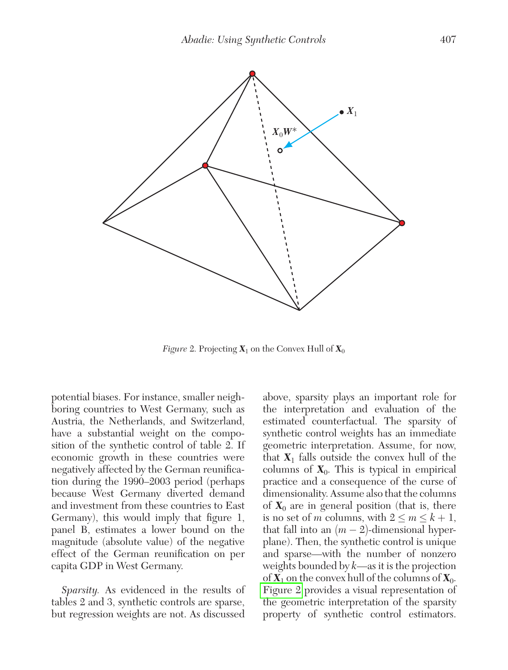

*Figure* 2. Projecting  $X_1$  on the Convex Hull of  $X_0$ 

potential biases. For instance, smaller neighboring countries to West Germany, such as Austria, the Netherlands, and Switzerland, have a substantial weight on the composition of the synthetic control of table 2. If economic growth in these countries were negatively affected by the German reunification during the 1990–2003 period (perhaps because West Germany diverted demand and investment from these countries to East Germany), this would imply that figure 1, panel B, estimates a lower bound on the magnitude (absolute value) of the negative effect of the German reunification on per capita GDP in West Germany.

*Sparsity.* As evidenced in the results of tables 2 and 3, synthetic controls are sparse, but regression weights are not. As discussed

above, sparsity plays an important role for the interpretation and evaluation of the estimated counterfactual. The sparsity of synthetic control weights has an immediate geometric interpretation. Assume, for now, that  $X_1$  falls outside the convex hull of the columns of  $X_0$ . This is typical in empirical practice and a consequence of the curse of dimensionality. Assume also that the columns of  $X_0$  are in general position (that is, there is no set of *m* columns, with  $2 \le m \le k + 1$ , that fall into an  $(m-2)$ -dimensional hyperplane). Then, the synthetic control is unique and sparse—with the number of nonzero weights bounded by *k*—as it is the projection of  $X_1$  on the convex hull of the columns of  $X_0$ . Figure 2 provides a visual representation of the geometric interpretation of the sparsity property of synthetic control estimators.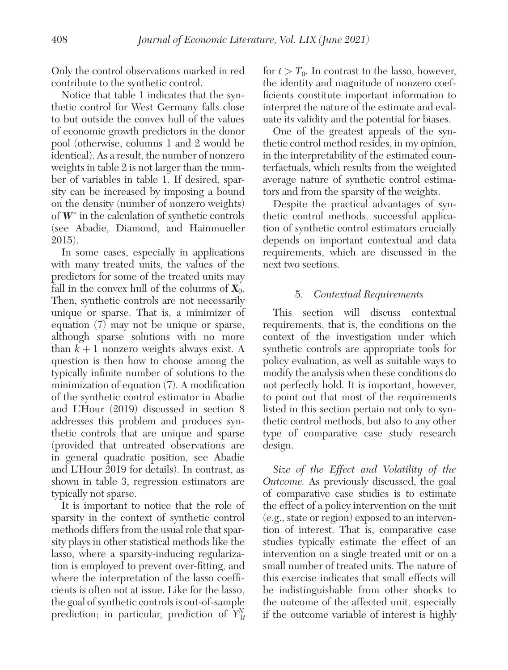Only the control observations marked in red contribute to the synthetic control.

Notice that table 1 indicates that the synthetic control for West Germany falls close to but outside the convex hull of the values of economic growth predictors in the donor pool (otherwise, columns 1 and 2 would be identical). As a result, the number of nonzero weights in table 2 is not larger than the number of variables in table 1. If desired, sparsity can be increased by imposing a bound on the density (number of nonzero weights) of  $W^*$  in the calculation of synthetic controls (see Abadie, Diamond, and Hainmueller 2015).

In some cases, especially in applications with many treated units, the values of the predictors for some of the treated units may fall in the convex hull of the columns of  $\mathbf{X}_0$ . Then, synthetic controls are not necessarily unique or sparse. That is, a minimizer of equation (7) may not be unique or sparse, although sparse solutions with no more than  $k+1$  nonzero weights always exist. A question is then how to choose among the typically infinite number of solutions to the minimization of equation (7). A modification of the synthetic control estimator in Abadie and L'Hour (2019) discussed in section 8 addresses this problem and produces synthetic controls that are unique and sparse (provided that untreated observations are in general quadratic position, see Abadie and L'Hour 2019 for details). In contrast, as shown in table 3, regression estimators are typically not sparse.

It is important to notice that the role of sparsity in the context of synthetic control methods differs from the usual role that sparsity plays in other statistical methods like the lasso, where a sparsity-inducing regularization is employed to prevent over-fitting, and where the interpretation of the lasso coefficients is often not at issue. Like for the lasso, the goal of synthetic controls is out-of-sample prediction; in particular, prediction of  $\hat{Y}_{1t}^{N}$ 

for  $t > T_0$ . In contrast to the lasso, however, the identity and magnitude of nonzero coefficients constitute important information to interpret the nature of the estimate and evaluate its validity and the potential for biases.

One of the greatest appeals of the synthetic control method resides, in my opinion, in the interpretability of the estimated counterfactuals, which results from the weighted average nature of synthetic control estimators and from the sparsity of the weights.

Despite the practical advantages of synthetic control methods, successful application of synthetic control estimators crucially depends on important contextual and data requirements, which are discussed in the next two sections.

## 5. *Contextual Requirements*

This section will discuss contextual requirements, that is, the conditions on the context of the investigation under which synthetic controls are appropriate tools for policy evaluation, as well as suitable ways to modify the analysis when these conditions do not perfectly hold. It is important, however, to point out that most of the requirements listed in this section pertain not only to synthetic control methods, but also to any other type of comparative case study research design.

*Size of the Effect and Volatility of the Outcome.* As previously discussed, the goal of comparative case studies is to estimate the effect of a policy intervention on the unit (e.g., state or region) exposed to an intervention of interest. That is, comparative case studies typically estimate the effect of an intervention on a single treated unit or on a small number of treated units. The nature of this exercise indicates that small effects will be indistinguishable from other shocks to the outcome of the affected unit, especially if the outcome variable of interest is highly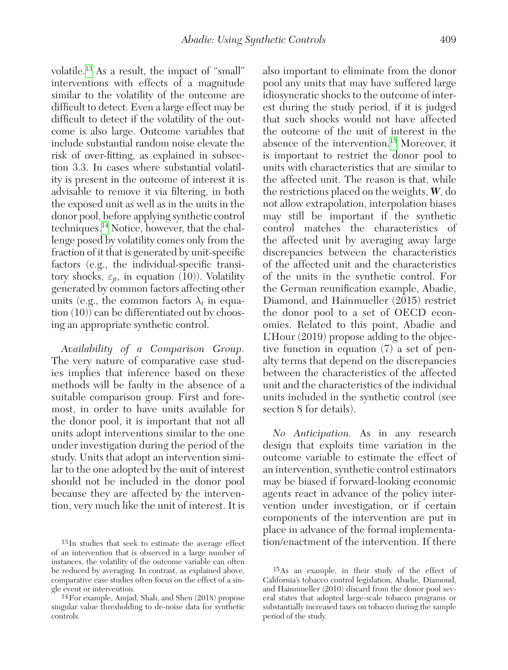volatile.[13](#page-18-0) As a result, the impact of "small" interventions with effects of a magnitude similar to the volatility of the outcome are difficult to detect. Even a large effect may be difficult to detect if the volatility of the outcome is also large. Outcome variables that include substantial random noise elevate the risk of over-fitting, as explained in subsection 3.3. In cases where substantial volatility is present in the outcome of interest it is advisable to remove it via filtering, in both the exposed unit as well as in the units in the donor pool, before applying synthetic control techniques.[14](#page-18-1) Notice, however, that the challenge posed by volatility comes only from the fraction of it that is generated by unit-specific factors (e.g., the individual-specific transitory shocks,  $\varepsilon_{it}$ , in equation (10)). Volatility generated by common factors affecting other units (e.g., the common factors  $\lambda_t$  in equation (10)) can be differentiated out by choosing an appropriate synthetic control.

*Availability of a Comparison Group.* The very nature of comparative case studies implies that inference based on these methods will be faulty in the absence of a suitable comparison group. First and foremost, in order to have units available for the donor pool, it is important that not all units adopt interventions similar to the one under investigation during the period of the study. Units that adopt an intervention similar to the one adopted by the unit of interest should not be included in the donor pool because they are affected by the intervention, very much like the unit of interest. It is also important to eliminate from the donor pool any units that may have suffered large idiosyncratic shocks to the outcome of interest during the study period, if it is judged that such shocks would not have affected the outcome of the unit of interest in the absence of the intervention[.15](#page-18-2) Moreover, it is important to restrict the donor pool to units with characteristics that are similar to the affected unit. The reason is that, while the restrictions placed on the weights, *W*, do not allow extrapolation, interpolation biases may still be important if the synthetic control matches the characteristics of the affected unit by averaging away large discrepancies between the characteristics of the affected unit and the characteristics of the units in the synthetic control. For the German reunification example, Abadie, Diamond, and Hainmueller (2015) restrict the donor pool to a set of OECD economies. Related to this point, Abadie and L'Hour (2019) propose adding to the objective function in equation (7) a set of penalty terms that depend on the discrepancies between the characteristics of the affected unit and the characteristics of the individual units included in the synthetic control (see section 8 for details).

*No Anticipation.* As in any research design that exploits time variation in the outcome variable to estimate the effect of an intervention, synthetic control estimators may be biased if forward-looking economic agents react in advance of the policy intervention under investigation, or if certain components of the intervention are put in place in advance of the formal implementation/enactment of the intervention. If there

<span id="page-18-0"></span><sup>13</sup>In studies that seek to estimate the average effect of an intervention that is observed in a large number of instances, the volatility of the outcome variable can often be reduced by averaging. In contrast, as explained above, comparative case studies often focus on the effect of a single event or intervention.

<span id="page-18-1"></span><sup>14</sup>For example, Amjad, Shah, and Shen (2018) propose singular value thresholding to de-noise data for synthetic controls.

<span id="page-18-2"></span><sup>15</sup>As an example, in their study of the effect of California's tobacco control legislation, Abadie, Diamond, and Hainmueller (2010) discard from the donor pool several states that adopted large-scale tobacco programs or substantially increased taxes on tobacco during the sample period of the study.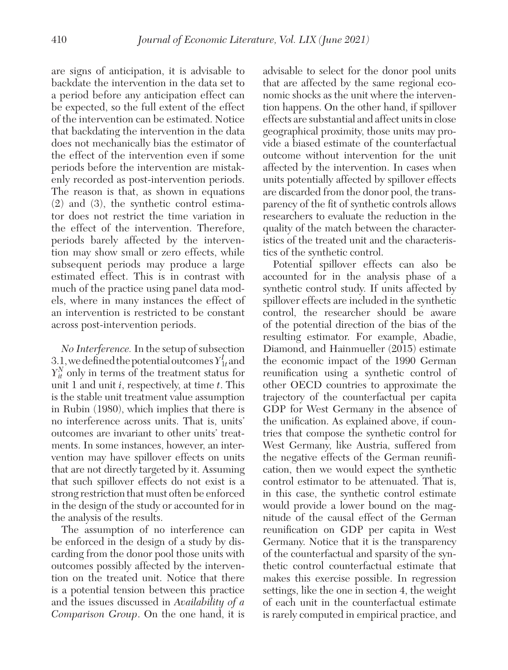are signs of anticipation, it is advisable to backdate the intervention in the data set to a period before any anticipation effect can be expected, so the full extent of the effect of the intervention can be estimated. Notice that backdating the intervention in the data does not mechanically bias the estimator of the effect of the intervention even if some periods before the intervention are mistakenly recorded as post-intervention periods. The reason is that, as shown in equations (2) and (3), the synthetic control estimator does not restrict the time variation in the effect of the intervention. Therefore, periods barely affected by the intervention may show small or zero effects, while subsequent periods may produce a large estimated effect. This is in contrast with much of the practice using panel data models, where in many instances the effect of an intervention is restricted to be constant across post-intervention periods.

*No Interference.* In the setup of subsection 3.1, we defined the potential outcomes  $Y^I_{1t}$  and  $Y_{it}^N$  only in terms of the treatment status for unit 1 and unit *i*, respectively, at time *t*. This is the stable unit treatment value assumption in Rubin (1980), which implies that there is no interference across units. That is, units' outcomes are invariant to other units' treatments. In some instances, however, an intervention may have spillover effects on units that are not directly targeted by it. Assuming that such spillover effects do not exist is a strong restriction that must often be enforced in the design of the study or accounted for in the analysis of the results.

The assumption of no interference can be enforced in the design of a study by discarding from the donor pool those units with outcomes possibly affected by the intervention on the treated unit. Notice that there is a potential tension between this practice and the issues discussed in *Availability of a Comparison Group*. On the one hand, it is advisable to select for the donor pool units that are affected by the same regional economic shocks as the unit where the intervention happens. On the other hand, if spillover effects are substantial and affect units in close geographical proximity, those units may provide a biased estimate of the counterfactual outcome without intervention for the unit affected by the intervention. In cases when units potentially affected by spillover effects are discarded from the donor pool, the transparency of the fit of synthetic controls allows researchers to evaluate the reduction in the quality of the match between the characteristics of the treated unit and the characteristics of the synthetic control.

Potential spillover effects can also be accounted for in the analysis phase of a synthetic control study. If units affected by spillover effects are included in the synthetic control, the researcher should be aware of the potential direction of the bias of the resulting estimator. For example, Abadie, Diamond, and Hainmueller (2015) estimate the economic impact of the 1990 German reunification using a synthetic control of other OECD countries to approximate the trajectory of the counterfactual per capita GDP for West Germany in the absence of the unification. As explained above, if countries that compose the synthetic control for West Germany, like Austria, suffered from the negative effects of the German reunification, then we would expect the synthetic control estimator to be attenuated. That is, in this case, the synthetic control estimate would provide a lower bound on the magnitude of the causal effect of the German reunification on GDP per capita in West Germany. Notice that it is the transparency of the counterfactual and sparsity of the synthetic control counterfactual estimate that makes this exercise possible. In regression settings, like the one in section 4, the weight of each unit in the counterfactual estimate is rarely computed in empirical practice, and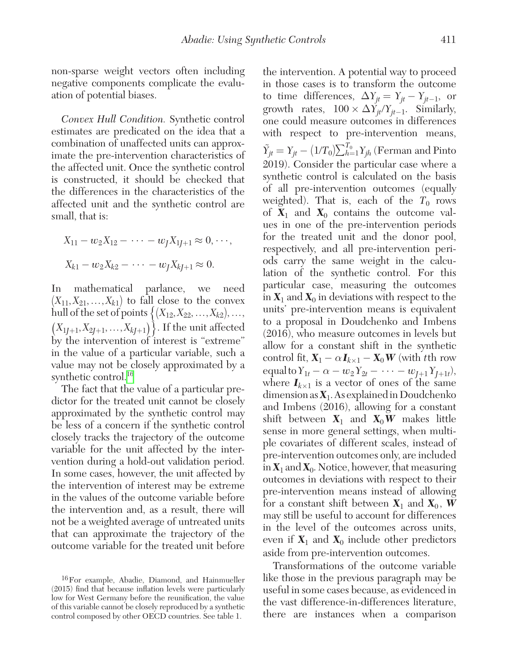non-sparse weight vectors often including negative components complicate the evaluation of potential biases.

*Convex Hull Condition.* Synthetic control estimates are predicated on the idea that a combination of unaffected units can approximate the pre-intervention characteristics of the affected unit. Once the synthetic control is constructed, it should be checked that the differences in the characteristics of the affected unit and the synthetic control are small, that is:

$$
X_{11} - w_2 X_{12} - \dots - w_J X_{1J+1} \approx 0, \dots,
$$
  

$$
X_{k1} - w_2 X_{k2} - \dots - w_J X_{kJ+1} \approx 0.
$$

In mathematical parlance, we need  $(X_{11}, X_{21}, \ldots, X_{k1})$  to fall close to the convex hull of the set of points  $\{(X_{12}, X_{22}, ..., X_{k2}), ...,$  $(X_{1*I*+1}, X_{2*I*+1},..., X_{k*I*+1})\}.$  If the unit affected by the intervention of interest is "extreme" in the value of a particular variable, such a value may not be closely approximated by a synthetic control.<sup>[16](#page-20-0)</sup>

The fact that the value of a particular predictor for the treated unit cannot be closely approximated by the synthetic control may be less of a concern if the synthetic control closely tracks the trajectory of the outcome variable for the unit affected by the intervention during a hold-out validation period. In some cases, however, the unit affected by the intervention of interest may be extreme in the values of the outcome variable before the intervention and, as a result, there will not be a weighted average of untreated units that can approximate the trajectory of the outcome variable for the treated unit before the intervention. A potential way to proceed in those cases is to transform the outcome to time differences,  $\Delta Y_{jt} = Y_{jt} - Y_{jt-1}$ , or growth rates,  $100 \times \Delta Y_{it}/Y_{it-1}$ . Similarly, one could measure outcomes in differences with respect to pre-intervention means,  $\tilde{Y}_{jt} = Y_{jt} - (1/T_0) \sum_{h=1}^{T_0} Y_{jh}$  (Ferman and Pinto 2019). Consider the particular case where a synthetic control is calculated on the basis of all pre-intervention outcomes (equally weighted). That is, each of the  $T_0$  rows of  $X_1$  and  $X_0$  contains the outcome values in one of the pre-intervention periods for the treated unit and the donor pool, respectively, and all pre-intervention periods carry the same weight in the calculation of the synthetic control. For this particular case, measuring the outcomes in  $X_1$  and  $X_0$  in deviations with respect to the units' pre-intervention means is equivalent to a proposal in Doudchenko and Imbens (2016), who measure outcomes in levels but allow for a constant shift in the synthetic control fit,  $X_1 - \alpha I_{k \times 1} - X_0 W$  (with *t*th row  $\text{equal to } Y_{1t} - \alpha - w_2 Y_{2t} - \cdots - w_{J+1} Y_{J+1t}$ where  $I_{k\times 1}$  is a vector of ones of the same dimension as *X*1. As explained in Doudchenko and Imbens (2016), allowing for a constant shift between  $X_1$  and  $X_0W$  makes little sense in more general settings, when multiple covariates of different scales, instead of pre-intervention outcomes only, are included in  $X_1$  and  $X_0$ . Notice, however, that measuring outcomes in deviations with respect to their pre-intervention means instead of allowing for a constant shift between  $X_1$  and  $X_0$ , **W** may still be useful to account for differences in the level of the outcomes across units, even if  $X_1$  and  $X_0$  include other predictors aside from pre-intervention outcomes.

Transformations of the outcome variable like those in the previous paragraph may be useful in some cases because, as evidenced in the vast difference-in-differences literature, there are instances when a comparison

<span id="page-20-0"></span><sup>16</sup>For example, Abadie, Diamond, and Hainmueller (2015) find that because inflation levels were particularly low for West Germany before the reunification, the value of this variable cannot be closely reproduced by a synthetic control composed by other OECD countries. See table 1.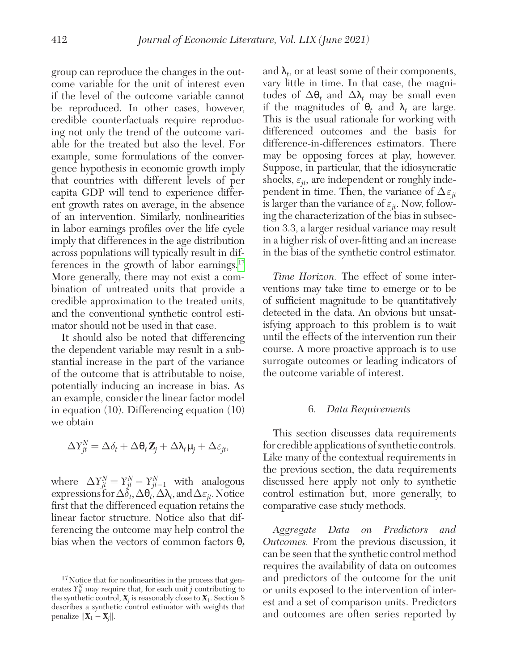group can reproduce the changes in the outcome variable for the unit of interest even if the level of the outcome variable cannot be reproduced. In other cases, however, credible counterfactuals require reproducing not only the trend of the outcome variable for the treated but also the level. For example, some formulations of the convergence hypothesis in economic growth imply that countries with different levels of per capita GDP will tend to experience different growth rates on average, in the absence of an intervention. Similarly, nonlinearities in labor earnings profiles over the life cycle imply that differences in the age distribution across populations will typically result in differences in the growth of labor earnings. $17$ More generally, there may not exist a combination of untreated units that provide a credible approximation to the treated units, and the conventional synthetic control estimator should not be used in that case.

It should also be noted that differencing the dependent variable may result in a substantial increase in the part of the variance of the outcome that is attributable to noise, potentially inducing an increase in bias. As an example, consider the linear factor model in equation (10). Differencing equation (10) we obtain

$$
\Delta Y_{jt}^N = \Delta \delta_t + \Delta \theta_t \mathbf{Z}_j + \Delta \lambda_t \mu_j + \Delta \varepsilon_{jt},
$$

where  $\Delta Y_{jt}^N = Y_{jt}^N - Y_{jt-1}^N$  with analogous expressions for  $\Delta \delta_t$ ,  $\Delta \theta_t$ ,  $\Delta \lambda_t$ , and  $\Delta \varepsilon_{it}$ . Notice first that the differenced equation retains the linear factor structure. Notice also that differencing the outcome may help control the bias when the vectors of common factors θ*<sup>t</sup>*

and  $\lambda_t$ , or at least some of their components, vary little in time. In that case, the magnitudes of  $\Delta θ_t$  and  $\Delta \lambda_t$  may be small even if the magnitudes of  $\theta_t$  and  $\lambda_t$  are large. This is the usual rationale for working with differenced outcomes and the basis for difference-in-differences estimators. There may be opposing forces at play, however. Suppose, in particular, that the idiosyncratic shocks,  $\varepsilon_{it}$ , are independent or roughly independent in time. Then, the variance of  $\Delta \varepsilon_{it}$ is larger than the variance of  $\varepsilon_{it}$ . Now, following the characterization of the bias in subsection 3.3, a larger residual variance may result in a higher risk of over-fitting and an increase in the bias of the synthetic control estimator.

*Time Horizon.* The effect of some interventions may take time to emerge or to be of sufficient magnitude to be quantitatively detected in the data. An obvious but unsatisfying approach to this problem is to wait until the effects of the intervention run their course. A more proactive approach is to use surrogate outcomes or leading indicators of the outcome variable of interest.

#### 6. *Data Requirements*

This section discusses data requirements for credible applications of synthetic controls. Like many of the contextual requirements in the previous section, the data requirements discussed here apply not only to synthetic control estimation but, more generally, to comparative case study methods.

*Aggregate Data on Predictors and Outcomes.* From the previous discussion, it can be seen that the synthetic control method requires the availability of data on outcomes and predictors of the outcome for the unit or units exposed to the intervention of interest and a set of comparison units. Predictors and outcomes are often series reported by

<span id="page-21-0"></span><sup>17</sup>Notice that for nonlinearities in the process that generates  $Y_{it}^N$  may require that, for each unit *j* contributing to the synthetic control,  $\mathbf{X}_j$  is reasonably close to  $\mathbf{X}_1$ . Section 8 describes a synthetic control estimator with weights that penalize  $\|\mathbf{X}_1 - \mathbf{X}_j\|.$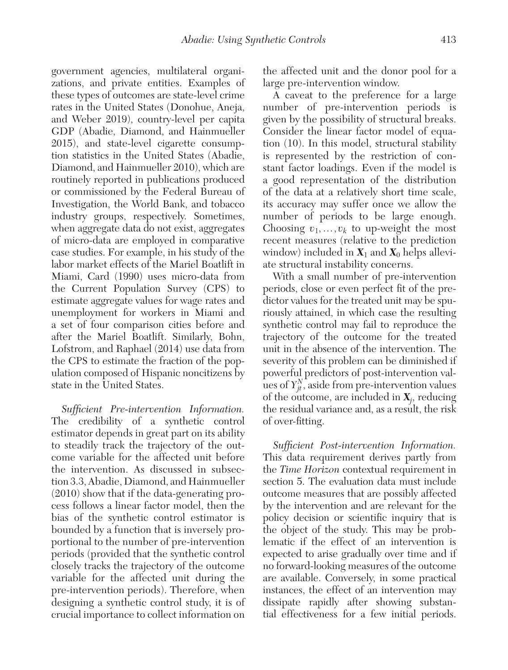government agencies, multilateral organizations, and private entities. Examples of these types of outcomes are state-level crime rates in the United States (Donohue, Aneja, and Weber 2019), country-level per capita GDP (Abadie, Diamond, and Hainmueller 2015), and state-level cigarette consumption statistics in the United States (Abadie, Diamond, and Hainmueller 2010), which are routinely reported in publications produced or commissioned by the Federal Bureau of Investigation, the World Bank, and tobacco industry groups, respectively. Sometimes, when aggregate data do not exist, aggregates of micro-data are employed in comparative case studies. For example, in his study of the labor market effects of the Mariel Boatlift in Miami, Card (1990) uses micro-data from the Current Population Survey (CPS) to estimate aggregate values for wage rates and unemployment for workers in Miami and a set of four comparison cities before and after the Mariel Boatlift. Similarly, Bohn, Lofstrom, and Raphael (2014) use data from the CPS to estimate the fraction of the population composed of Hispanic noncitizens by state in the United States.

*Sufficient Pre-intervention Information.* The credibility of a synthetic control estimator depends in great part on its ability to steadily track the trajectory of the outcome variable for the affected unit before the intervention. As discussed in subsection 3.3, Abadie, Diamond, and Hainmueller (2010) show that if the data-generating process follows a linear factor model, then the bias of the synthetic control estimator is bounded by a function that is inversely proportional to the number of pre-intervention periods (provided that the synthetic control closely tracks the trajectory of the outcome variable for the affected unit during the pre-intervention periods). Therefore, when designing a synthetic control study, it is of crucial importance to collect information on

the affected unit and the donor pool for a large pre-intervention window.

A caveat to the preference for a large number of pre-intervention periods is given by the possibility of structural breaks. Consider the linear factor model of equation (10). In this model, structural stability is represented by the restriction of constant factor loadings. Even if the model is a good representation of the distribution of the data at a relatively short time scale, its accuracy may suffer once we allow the number of periods to be large enough. Choosing  $v_1, \ldots, v_k$  to up-weight the most recent measures (relative to the prediction window) included in  $X_1$  and  $X_0$  helps alleviate structural instability concerns.

With a small number of pre-intervention periods, close or even perfect fit of the predictor values for the treated unit may be spuriously attained, in which case the resulting synthetic control may fail to reproduce the trajectory of the outcome for the treated unit in the absence of the intervention. The severity of this problem can be diminished if powerful predictors of post-intervention values of  $Y_{jt}^N$ , aside from pre-intervention values of the outcome, are included in  $X_j$ , reducing the residual variance and, as a result, the risk of over-fitting.

*Sufficient Post-intervention Information.* This data requirement derives partly from the *Time Horizon* contextual requirement in section 5. The evaluation data must include outcome measures that are possibly affected by the intervention and are relevant for the policy decision or scientific inquiry that is the object of the study. This may be problematic if the effect of an intervention is expected to arise gradually over time and if no forward-looking measures of the outcome are available. Conversely, in some practical instances, the effect of an intervention may dissipate rapidly after showing substantial effectiveness for a few initial periods.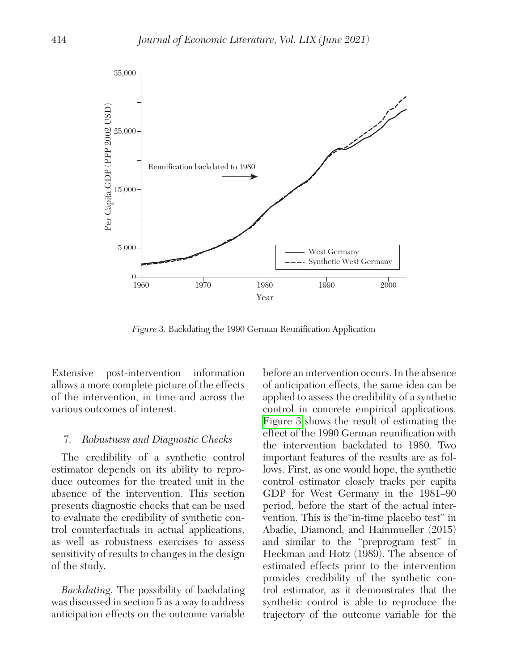

*Figure* 3. Backdating the 1990 German Reunification Application

Extensive post-intervention information allows a more complete picture of the effects of the intervention, in time and across the various outcomes of interest.

#### 7. *Robustness and Diagnostic Checks*

The credibility of a synthetic control estimator depends on its ability to reproduce outcomes for the treated unit in the absence of the intervention. This section presents diagnostic checks that can be used to evaluate the credibility of synthetic control counterfactuals in actual applications, as well as robustness exercises to assess sensitivity of results to changes in the design of the study.

*Backdating.* The possibility of backdating was discussed in section 5 as a way to address anticipation effects on the outcome variable

before an intervention occurs. In the absence of anticipation effects, the same idea can be applied to assess the credibility of a synthetic control in concrete empirical applications. Figure 3 shows the result of estimating the effect of the 1990 German reunification with the intervention backdated to 1980. Two important features of the results are as follows. First, as one would hope, the synthetic control estimator closely tracks per capita GDP for West Germany in the 1981–90 period, before the start of the actual intervention. This is the"in-time placebo test" in Abadie, Diamond, and Hainmueller (2015) and similar to the "preprogram test" in Heckman and Hotz (1989). The absence of estimated effects prior to the intervention provides credibility of the synthetic control estimator, as it demonstrates that the synthetic control is able to reproduce the trajectory of the outcome variable for the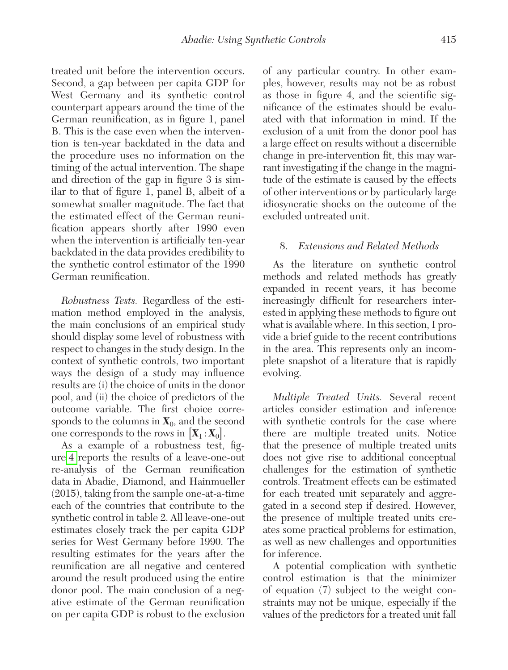treated unit before the intervention occurs. Second, a gap between per capita GDP for West Germany and its synthetic control counterpart appears around the time of the German reunification, as in figure 1, panel B. This is the case even when the intervention is ten-year backdated in the data and the procedure uses no information on the timing of the actual intervention. The shape and direction of the gap in figure 3 is similar to that of figure 1, panel B, albeit of a somewhat smaller magnitude. The fact that the estimated effect of the German reunification appears shortly after 1990 even when the intervention is artificially ten-year backdated in the data provides credibility to the synthetic control estimator of the 1990 German reunification.

*Robustness Tests.* Regardless of the estimation method employed in the analysis, the main conclusions of an empirical study should display some level of robustness with respect to changes in the study design. In the context of synthetic controls, two important ways the design of a study may influence results are (i) the choice of units in the donor pool, and (ii) the choice of predictors of the outcome variable. The first choice corresponds to the columns in  $X_0$ , and the second one corresponds to the rows in  $[X_1 : X_0]$ .

As a example of a robustness test, figure [4](#page-25-0) reports the results of a leave-one-out re-analysis of the German reunification data in Abadie, Diamond, and Hainmueller (2015), taking from the sample one-at-a-time each of the countries that contribute to the synthetic control in table 2. All leave-one-out estimates closely track the per capita GDP series for West Germany before 1990. The resulting estimates for the years after the reunification are all negative and centered around the result produced using the entire donor pool. The main conclusion of a negative estimate of the German reunification on per capita GDP is robust to the exclusion of any particular country. In other examples, however, results may not be as robust as those in figure 4, and the scientific significance of the estimates should be evaluated with that information in mind. If the exclusion of a unit from the donor pool has a large effect on results without a discernible change in pre-intervention fit, this may warrant investigating if the change in the magnitude of the estimate is caused by the effects of other interventions or by particularly large idiosyncratic shocks on the outcome of the excluded untreated unit.

## 8. *Extensions and Related Methods*

As the literature on synthetic control methods and related methods has greatly expanded in recent years, it has become increasingly difficult for researchers interested in applying these methods to figure out what is available where. In this section, I provide a brief guide to the recent contributions in the area. This represents only an incomplete snapshot of a literature that is rapidly evolving.

*Multiple Treated Units.* Several recent articles consider estimation and inference with synthetic controls for the case where there are multiple treated units. Notice that the presence of multiple treated units does not give rise to additional conceptual challenges for the estimation of synthetic controls. Treatment effects can be estimated for each treated unit separately and aggregated in a second step if desired. However, the presence of multiple treated units creates some practical problems for estimation, as well as new challenges and opportunities for inference.

A potential complication with synthetic control estimation is that the minimizer of equation (7) subject to the weight constraints may not be unique, especially if the values of the predictors for a treated unit fall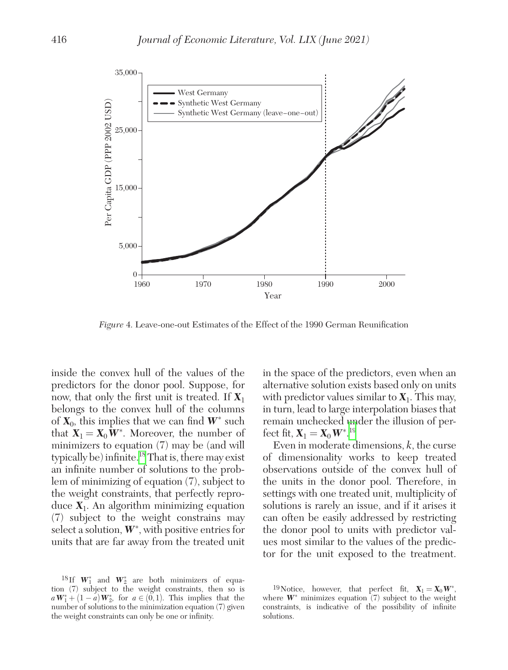<span id="page-25-0"></span>

*Figure* 4. Leave-one-out Estimates of the Effect of the 1990 German Reunification

inside the convex hull of the values of the predictors for the donor pool. Suppose, for now, that only the first unit is treated. If *X*<sup>1</sup> belongs to the convex hull of the columns of  $X_0$ , this implies that we can find  $W^*$  such that  $X_1 = X_0 W^*$ . Moreover, the number of minimizers to equation (7) may be (and will typically be) infinite.[18](#page-25-1) That is, there may exist an infinite number of solutions to the problem of minimizing of equation (7), subject to the weight constraints, that perfectly reproduce  $X_1$ . An algorithm minimizing equation (7) subject to the weight constrains may select a solution,  $W^*$ , with positive entries for units that are far away from the treated unit

in the space of the predictors, even when an alternative solution exists based only on units with predictor values similar to  $X_1$ . This may, in turn, lead to large interpolation biases that remain unchecked under the illusion of perfect fit,  $\mathbf{X}_1 = \mathbf{X}_0 \mathbf{W}^*$ .<sup>[19](#page-25-2)</sup>

Even in moderate dimensions, *k*, the curse of dimensionality works to keep treated observations outside of the convex hull of the units in the donor pool. Therefore, in settings with one treated unit, multiplicity of solutions is rarely an issue, and if it arises it can often be easily addressed by restricting the donor pool to units with predictor values most similar to the values of the predictor for the unit exposed to the treatment.

<span id="page-25-1"></span><sup>&</sup>lt;sup>18</sup>If  $W_1^*$  and  $W_2^*$  are both minimizers of equation (7) subject to the weight constraints, then so is  $aW_1^* + (1 - a)W_2^*$ , for  $a \in (0,1)$ . This implies that the number of solutions to the minimization equation (7) given the weight constraints can only be one or infinity.

<span id="page-25-2"></span><sup>&</sup>lt;sup>19</sup>Notice, however, that perfect fit,  $X_1 = X_0 W^*$ , where  $W^*$  minimizes equation  $(7)$  subject to the weight constraints, is indicative of the possibility of infinite solutions.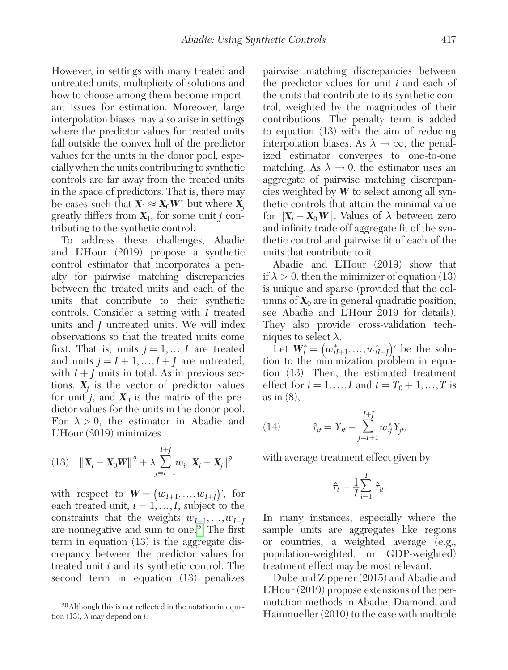However, in settings with many treated and untreated units, multiplicity of solutions and how to choose among them become important issues for estimation. Moreover, large interpolation biases may also arise in settings where the predictor values for treated units fall outside the convex hull of the predictor values for the units in the donor pool, especially when the units contributing to synthetic controls are far away from the treated units in the space of predictors. That is, there may be cases such that  $\mathbf{X}_1 \approx \mathbf{X}_0 \mathbf{W}^*$  but where  $\mathbf{X}_j$ greatly differs from *X*1, for some unit *j* contributing to the synthetic control.

To address these challenges, Abadie and L'Hour (2019) propose a synthetic control estimator that incorporates a penalty for pairwise matching discrepancies between the treated units and each of the units that contribute to their synthetic controls. Consider a setting with *I* treated units and *J* untreated units. We will index observations so that the treated units come first. That is, units  $j = 1, ..., I$  are treated and units  $j = I + 1, ..., I + J$  are untreated, with  $I + J$  units in total. As in previous sections,  $X_j$  is the vector of predictor values for unit *j*, and  $X_0$  is the matrix of the predictor values for the units in the donor pool. For  $\lambda > 0$ , the estimator in Abadie and L'Hour (2019) minimizes

(13) 
$$
\|\mathbf{X}_{i}-\mathbf{X}_{0}\mathbf{W}\|^{2}+\lambda \sum_{j=I+1}^{I+J} w_{i} \|\mathbf{X}_{i}-\mathbf{X}_{j}\|^{2}
$$

with respect to  $\mathbf{W} = (w_{I+1},...,w_{I+I})'$ , for each treated unit,  $i = 1, \ldots, I$ , subject to the constraints that the weights  $w_{I+1}, \ldots, w_{I+I}$ are nonnegative and sum to one.<sup>20</sup> The first term in equation (13) is the aggregate discrepancy between the predictor values for treated unit *i* and its synthetic control. The second term in equation (13) penalizes

pairwise matching discrepancies between the predictor values for unit *i* and each of the units that contribute to its synthetic control, weighted by the magnitudes of their contributions. The penalty term is added to equation (13) with the aim of reducing interpolation biases. As  $\lambda \to \infty$ , the penalized estimator converges to one-to-one matching. As  $\lambda \rightarrow 0$ , the estimator uses an aggregate of pairwise matching discrepancies weighted by *W* to select among all synthetic controls that attain the minimal value for  $||\mathbf{X}_i - \mathbf{X}_0 \mathbf{W}||$ . Values of  $\lambda$  between zero and infinity trade off aggregate fit of the synthetic control and pairwise fit of each of the units that contribute to it.

Abadie and L'Hour (2019) show that if  $\lambda > 0$ , then the minimizer of equation (13) is unique and sparse (provided that the columns of  $X_0$  are in general quadratic position, see Abadie and L'Hour 2019 for details). They also provide cross-validation techniques to select  $\lambda$ .

Let  $W^*_{i} = (w^*_{iI+1},...,w^*_{iI+J})'$  be the solution to the minimization problem in equation (13). Then, the estimated treatment effect for  $i = 1, ..., I$  and  $t = T_0 + 1, ..., T$  is as in (8),

(14) 
$$
\hat{\tau}_{it} = Y_{it} - \sum_{j=I+1}^{I+J} w_{ij}^* Y_{jt},
$$

with average treatment effect given by

$$
\hat{\tau}_t = \frac{1}{I} \sum_{i=1}^I \hat{\tau}_{it}.
$$

In many instances, especially where the sample units are aggregates like regions or countries, a weighted average (e.g., population-weighted, or GDP-weighted) treatment effect may be most relevant.

Dube and Zipperer (2015) and Abadie and L'Hour (2019) propose extensions of the permutation methods in Abadie, Diamond, and Hainmueller (2010) to the case with multiple

<span id="page-26-0"></span><sup>20</sup>Although this is not reflected in the notation in equation (13),  $\lambda$  may depend on *i*.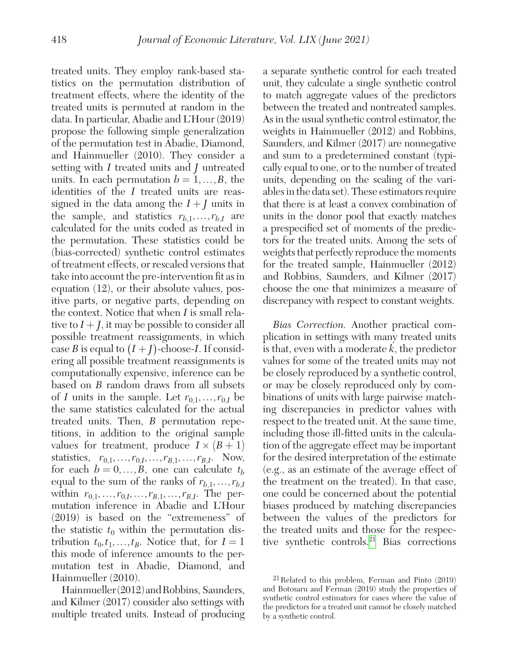treated units. They employ rank-based statistics on the permutation distribution of treatment effects, where the identity of the treated units is permuted at random in the data. In particular, Abadie and L'Hour (2019) propose the following simple generalization of the permutation test in Abadie, Diamond, and Hainmueller (2010). They consider a setting with *I* treated units and *J* untreated units. In each permutation  $b = 1, ..., B$ , the identities of the *I* treated units are reassigned in the data among the  $I + J$  units in the sample, and statistics  $r_{b,1},...,r_{b,I}$  are calculated for the units coded as treated in the permutation. These statistics could be (bias-corrected) synthetic control estimates of treatment effects, or rescaled versions that take into account the pre-intervention fit as in equation (12), or their absolute values, positive parts, or negative parts, depending on the context. Notice that when *I* is small relative to  $I + I$ , it may be possible to consider all possible treatment reassignments, in which case *B* is equal to  $(I + J)$ -choose-*I*. If considering all possible treatment reassignments is computationally expensive, inference can be based on *B* random draws from all subsets of *I* units in the sample. Let  $r_{0,1},...,r_{0,I}$  be the same statistics calculated for the actual treated units. Then, *B* permutation repetitions, in addition to the original sample values for treatment, produce  $I \times (B + 1)$ statistics,  $r_{0,1},...,r_{0,I},...,r_{B,1},...,r_{B,I}$ . Now, for each  $b = 0, ..., B$ , one can calculate  $t_b$ equal to the sum of the ranks of  $r_{b,1},...,r_{b,I}$ within  $r_{0,1},...,r_{0,I},...,r_{B,1},...,r_{B,I}$ . The permutation inference in Abadie and L'Hour (2019) is based on the "extremeness" of the statistic  $t_0$  within the permutation distribution  $t_0, t_1, \ldots, t_B$ . Notice that, for  $I = 1$ this mode of inference amounts to the permutation test in Abadie, Diamond, and Hainmueller (2010).

Hainmueller (2012) and Robbins, Saunders, and Kilmer (2017) consider also settings with multiple treated units. Instead of producing a separate synthetic control for each treated unit, they calculate a single synthetic control to match aggregate values of the predictors between the treated and nontreated samples. As in the usual synthetic control estimator, the weights in Hainmueller (2012) and Robbins, Saunders, and Kilmer (2017) are nonnegative and sum to a predetermined constant (typically equal to one, or to the number of treated units, depending on the scaling of the variables in the data set). These estimators require that there is at least a convex combination of units in the donor pool that exactly matches a prespecified set of moments of the predictors for the treated units. Among the sets of weights that perfectly reproduce the moments for the treated sample, Hainmueller (2012) and Robbins, Saunders, and Kilmer (2017) choose the one that minimizes a measure of discrepancy with respect to constant weights.

*Bias Correction.* Another practical complication in settings with many treated units is that, even with a moderate *k*, the predictor values for some of the treated units may not be closely reproduced by a synthetic control, or may be closely reproduced only by combinations of units with large pairwise matching discrepancies in predictor values with respect to the treated unit. At the same time, including those ill-fitted units in the calculation of the aggregate effect may be important for the desired interpretation of the estimate (e.g., as an estimate of the average effect of the treatment on the treated). In that case, one could be concerned about the potential biases produced by matching discrepancies between the values of the predictors for the treated units and those for the respective synthetic controls[.21](#page-27-0) Bias corrections

<span id="page-27-0"></span><sup>21</sup>Related to this problem, Ferman and Pinto (2019) and Botosaru and Ferman (2019) study the properties of synthetic control estimators for cases where the value of the predictors for a treated unit cannot be closely matched by a synthetic control.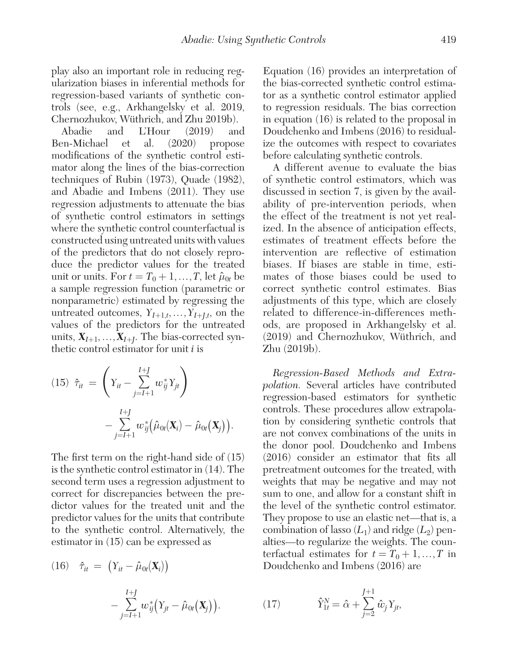play also an important role in reducing regularization biases in inferential methods for regression-based variants of synthetic controls (see, e.g., Arkhangelsky et al. 2019, Chernozhukov, Wüthrich, and Zhu 2019b).

Abadie and L'Hour (2019) and Ben-Michael et al. (2020) propose modifications of the synthetic control estimator along the lines of the bias-correction techniques of Rubin (1973), Quade (1982), and Abadie and Imbens (2011). They use regression adjustments to attenuate the bias of synthetic control estimators in settings where the synthetic control counterfactual is constructed using untreated units with values of the predictors that do not closely reproduce the predictor values for the treated unit or units. For  $t = T_0 + 1, \ldots, T$ , let  $\hat{\mu}_{0t}$  be a sample regression function (parametric or nonparametric) estimated by regressing the untreated outcomes,  $Y_{I+1,t},...,Y_{I+It}$ , on the values of the predictors for the untreated units,  $X_{I+1},...,X_{I+I}$ . The bias-corrected synthetic control estimator for unit *i* is

(15) 
$$
\hat{\tau}_{it} = \left(Y_{it} - \sum_{j=I+1}^{I+J} w_{ij}^* Y_{jt}\right) - \sum_{j=I+1}^{I+J} w_{ij}^* (\hat{\mu}_{0t}(\mathbf{X}_i) - \hat{\mu}_{0t}(\mathbf{X}_j)).
$$

The first term on the right-hand side of (15) is the synthetic control estimator in (14). The second term uses a regression adjustment to correct for discrepancies between the predictor values for the treated unit and the predictor values for the units that contribute to the synthetic control. Alternatively, the estimator in (15) can be expressed as

(16) 
$$
\hat{\tau}_{it} = (Y_{it} - \hat{\mu}_{0t}(\mathbf{X}_i))
$$

$$
- \sum_{j=I+1}^{I+J} w_{ij}^* (Y_{jt} - \hat{\mu}_{0t}(\mathbf{X}_j)).
$$

Equation (16) provides an interpretation of the bias-corrected synthetic control estimator as a synthetic control estimator applied to regression residuals. The bias correction in equation (16) is related to the proposal in Doudchenko and Imbens (2016) to residualize the outcomes with respect to covariates before calculating synthetic controls.

A different avenue to evaluate the bias of synthetic control estimators, which was discussed in section 7, is given by the availability of pre-intervention periods, when the effect of the treatment is not yet realized. In the absence of anticipation effects, estimates of treatment effects before the intervention are reflective of estimation biases. If biases are stable in time, estimates of those biases could be used to correct synthetic control estimates. Bias adjustments of this type, which are closely related to difference-in-differences methods, are proposed in Arkhangelsky et al. (2019) and Chernozhukov, Wüthrich, and Zhu (2019b).

*Regression-Based Methods and Extrapolation.* Several articles have contributed regression-based estimators for synthetic controls. These procedures allow extrapolation by considering synthetic controls that are not convex combinations of the units in the donor pool. Doudchenko and Imbens (2016) consider an estimator that fits all pretreatment outcomes for the treated, with weights that may be negative and may not sum to one, and allow for a constant shift in the level of the synthetic control estimator. They propose to use an elastic net—that is, a combination of lasso  $(L_1)$  and ridge  $(L_2)$  penalties—to regularize the weights. The counterfactual estimates for  $t = T_0 + 1, ..., T$  in Doudchenko and Imbens (2016) are

(17) 
$$
\hat{Y}_{1t}^{N} = \hat{\alpha} + \sum_{j=2}^{J+1} \hat{w}_{j} Y_{jt},
$$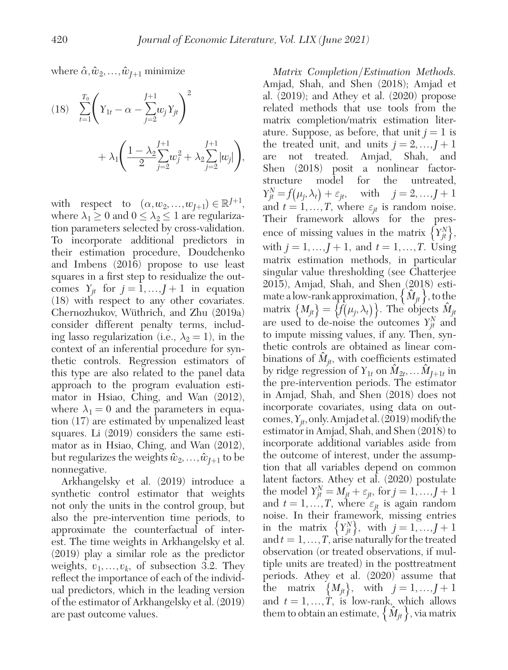where  $\hat{\alpha}, \hat{w}_2, \dots, \hat{w}_{J+1}$  minimize

(18) 
$$
\sum_{t=1}^{T_0} \left(Y_{1t} - \alpha - \sum_{j=2}^{J+1} w_j Y_{jt}\right)^2 + \lambda_1 \left(\frac{1 - \lambda_2 \sum_{j=2}^{J+1} w_j^2}{2} + \lambda_2 \sum_{j=2}^{J+1} |w_j|\right),
$$

with respect to  $(\alpha, w_2, ..., w_{J+1}) \in \mathbb{R}^{J+1}$ , where  $\lambda_1 \geq 0$  and  $0 \leq \lambda_2 \leq 1$  are regularization parameters selected by cross-validation. To incorporate additional predictors in their estimation procedure, Doudchenko and Imbens (2016) propose to use least squares in a first step to residualize the outcomes  $Y_{it}$  for  $j = 1, ..., J + 1$  in equation (18) with respect to any other covariates. Chernozhukov, Wüthrich, and Zhu (2019a) consider different penalty terms, including lasso regularization (i.e.,  $\lambda_2 = 1$ ), in the context of an inferential procedure for synthetic controls. Regression estimators of this type are also related to the panel data approach to the program evaluation estimator in Hsiao, Ching, and Wan (2012), where  $\lambda_1 = 0$  and the parameters in equation (17) are estimated by unpenalized least squares. Li (2019) considers the same estimator as in Hsiao, Ching, and Wan (2012), but regularizes the weights  $\hat{w}_2, \ldots, \hat{w}_{I+1}$  to be nonnegative.

Arkhangelsky et al. (2019) introduce a synthetic control estimator that weights not only the units in the control group, but also the pre-intervention time periods, to approximate the counterfactual of interest. The time weights in Arkhangelsky et al. (2019) play a similar role as the predictor weights,  $v_1, \ldots, v_k$ , of subsection 3.2. They reflect the importance of each of the individual predictors, which in the leading version of the estimator of Arkhangelsky et al. (2019) are past outcome values.

*Matrix Completion*/*Estimation Methods.*  Amjad, Shah, and Shen (2018); Amjad et al. (2019); and Athey et al. (2020) propose related methods that use tools from the matrix completion/matrix estimation literature. Suppose, as before, that unit  $j = 1$  is the treated unit, and units  $j = 2, ..., J + 1$ are not treated. Amjad, Shah, and Shen (2018) posit a nonlinear factorstructure model for the untreated,  $Y_{jt}^N = f(\mu_j, \lambda_t) + \varepsilon_{jt}$ , with  $j = 2, ..., J + 1$ and  $t = 1, ..., T$ , where  $\varepsilon_{it}$  is random noise. Their framework allows for the presence of missing values in the matrix  $\left\{Y_{jt}^N\right\}$ , with  $j = 1, ..., J + 1$ , and  $t = 1, ..., T$ . Using matrix estimation methods, in particular singular value thresholding (see Chatterjee 2015), Amjad, Shah, and Shen (2018) estimate a low-rank approximation,  $\{\hat{M}_{it}\}\$ , to the matrix  $\{M_{jt}\} = \{\hat{f}(\mu_j, \lambda_t)\}\$ . The objects  $\hat{M}_{jt}$ are used to de-noise the outcomes  $Y_{jt}^N$  and to impute missing values, if any. Then, synthetic controls are obtained as linear combinations of  $\hat{M}_{it}$ , with coefficients estimated by ridge regression of  $Y_{1t}$  on  $M_{2t}$ , ...  $M_{I+1t}$  in the pre-intervention periods. The estimator in Amjad, Shah, and Shen (2018) does not incorporate covariates, using data on outcomes,  $Y_{it}$ , only. Amjad et al. (2019) modify the estimator in Amjad, Shah, and Shen (2018) to incorporate additional variables aside from the outcome of interest, under the assumption that all variables depend on common latent factors. Athey et al. (2020) postulate the model  $Y_{jt}^N = M_{jt} + \varepsilon_{jt}$ , for  $j = 1, ..., J + 1$ and  $t = 1, ..., T$ , where  $\varepsilon_{jt}$  is again random noise. In their framework, missing entries in the matrix  $\{Y_{jt}^N\}$ , with  $j = 1, ..., J+1$ and  $t = 1, \ldots, T$ , arise naturally for the treated observation (or treated observations, if multiple units are treated) in the posttreatment periods. Athey et al. (2020) assume that the matrix  $\{M_{jt}\}\$ , with  $j = 1, ..., J + 1$ and  $t = 1, ..., T$ , is low-rank, which allows them to obtain an estimate,  $\{\hat{M}_{it}\}\$ , via matrix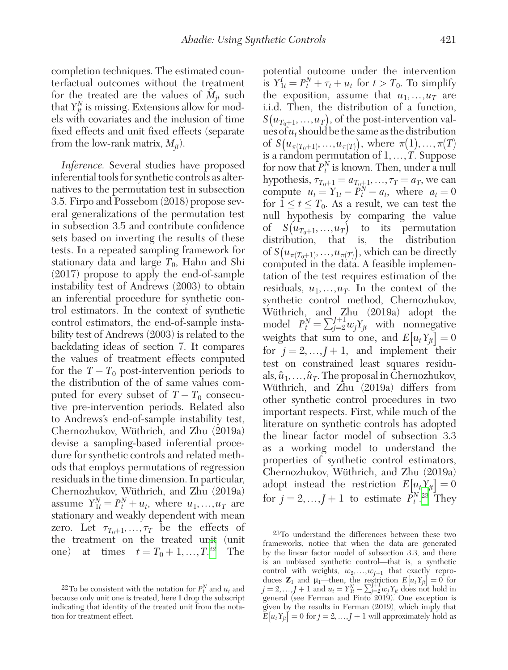completion techniques. The estimated counterfactual outcomes without the treatment for the treated are the values of  $\hat{M}_{it}$  such that  $Y_{jt}^N$  is missing. Extensions allow for models with covariates and the inclusion of time fixed effects and unit fixed effects (separate from the low-rank matrix,  $M_{it}$ ).

*Inference.* Several studies have proposed inferential tools for synthetic controls as alternatives to the permutation test in subsection 3.5. Firpo and Possebom (2018) propose several generalizations of the permutation test in subsection 3.5 and contribute confidence sets based on inverting the results of these tests. In a repeated sampling framework for stationary data and large  $T_0$ , Hahn and Shi (2017) propose to apply the end-of-sample instability test of Andrews (2003) to obtain an inferential procedure for synthetic control estimators. In the context of synthetic control estimators, the end-of-sample instability test of Andrews (2003) is related to the backdating ideas of section 7. It compares the values of treatment effects computed for the  $T - T_0$  post-intervention periods to the distribution of the of same values computed for every subset of  $T - T_0$  consecutive pre-intervention periods. Related also to Andrews's end-of-sample instability test, Chernozhukov, Wüthrich, and Zhu (2019a) devise a sampling-based inferential procedure for synthetic controls and related methods that employs permutations of regression residuals in the time dimension. In particular, Chernozhukov, Wüthrich, and Zhu (2019a) assume  $Y_{1t}^N = P_t^N + u_t$ , where  $u_1, \ldots, u_T$  are stationary and weakly dependent with mean zero. Let  $\tau_{T_0+1}, \ldots, \tau_T$  be the effects of the treatment on the treated unit (unit one) at times  $t = T_0 + 1, ..., T^{22}$  The potential outcome under the intervention is  $Y_{1t}^I = P_t^N + \tau_t + u_t$  for  $t > T_0$ . To simplify the exposition, assume that  $u_1, \ldots, u_T$  are i.i.d. Then, the distribution of a function,  $S(u_{T_0+1},...,u_T)$ , of the post-intervention values of  $u_t$  should be the same as the distribution of  $S(u_{\pi(T_0+1)},...,u_{\pi(T)})$ , where  $\pi(1),...,\pi(T)$ is a random permutation of 1,…,*T*. Suppose for now that  $P_t^N$  is known. Then, under a null hypothesis,  $\tau_{T_0+1} = a_{T_0+1}, \ldots, \tau_T = a_T$ , we can compute  $u_t = Y_{1t} - \tilde{P}_t^N - a_t$ , where  $a_t = 0$ for  $1 \le t \le T_0$ . As a result, we can test the null hypothesis by comparing the value of  $S(u_{T_0+1},...,u_T)$  to its permutation distribution, that is, the distribution of  $S(u_{\pi(T_0+1)},...,u_{\pi(T)})$ , which can be directly computed in the data. A feasible implementation of the test requires estimation of the residuals,  $u_1, \ldots, u_T$ . In the context of the synthetic control method, Chernozhukov, Wüthrich, and Zhu (2019a) adopt the model  $P_t^N = \sum_{j=2}^{J+1} w_j Y_j$  with nonnegative weights that sum to one, and  $E[u_t Y_{it}] = 0$ for  $j = 2, ..., J + 1$ , and implement their test on constrained least squares residuals,  $\hat{u}_1, \ldots, \hat{u}_T$ . The proposal in Chernozhukov, Wüthrich, and Zhu (2019a) differs from other synthetic control procedures in two important respects. First, while much of the literature on synthetic controls has adopted the linear factor model of subsection 3.3 as a working model to understand the properties of synthetic control estimators, Chernozhukov, Wüthrich, and Zhu (2019a) adopt instead the restriction  $E[u_t Y_{it}] = 0$ for  $j = 2, ..., J + 1$  to estimate  $P_t^{N,23}$  $P_t^{N,23}$  $P_t^{N,23}$  They

<span id="page-30-1"></span>23To understand the differences between these two frameworks, notice that when the data are generated by the linear factor model of subsection 3.3, and there is an unbiased synthetic control—that is, a synthetic control with weights,  $w_2, \ldots, w_{J+1}$  that exactly reproduces  $\mathbf{Z}_1$  and  $\mu_1$ —then, the restriction  $E[u_t Y_{jt}] = 0$  for  $j = 2, ..., J + 1$  and  $u_t = Y_M^N - \sum_{j=2}^{J+1} w_j Y_{jt}$  does not hold in general (see Ferman and Pinto 2019). One exception is given by the results in Ferman (2019), which imply that  $E[u_t Y_{tt}] = 0$  for  $j = 2, ..., J + 1$  will approximately hold as

<span id="page-30-0"></span><sup>&</sup>lt;sup>22</sup>To be consistent with the notation for  $P_t^N$  and  $u_t$  and because only unit one is treated, here I drop the subscript indicating that identity of the treated unit from the notation for treatment effect.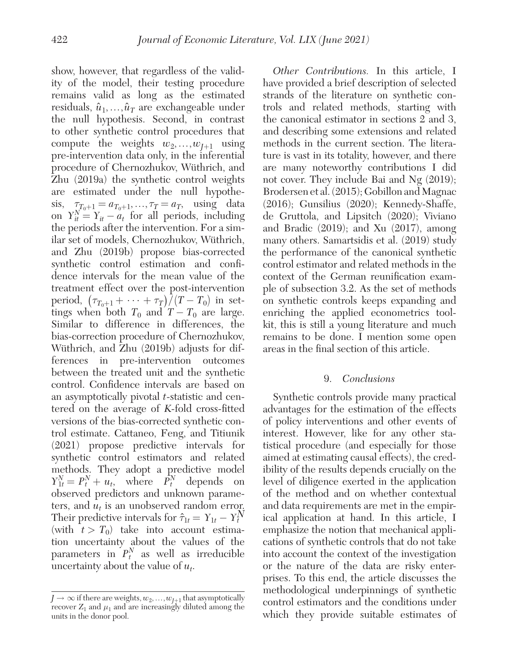show, however, that regardless of the validity of the model, their testing procedure remains valid as long as the estimated residuals,  $\hat{u}_1, \ldots, \hat{u}_T$  are exchangeable under the null hypothesis. Second, in contrast to other synthetic control procedures that compute the weights  $w_2, ..., w_{I+1}$  using pre-intervention data only, in the inferential procedure of Chernozhukov, Wüthrich, and Zhu (2019a) the synthetic control weights are estimated under the null hypothesis,  $\tau_{T_0+1} = a_{T_0+1}, \ldots, \tau_T = a_T$ , using data on  $Y_{it}^{N} = Y_{it} - a_t$  for all periods, including the periods after the intervention. For a similar set of models, Chernozhukov, Wüthrich, and Zhu (2019b) propose bias-corrected synthetic control estimation and confidence intervals for the mean value of the treatment effect over the post-intervention period,  $(\tau_{T_0+1} + \cdots + \tau_T)/(T-T_0)$  in settings when both  $T_0$  and  $T - T_0$  are large. Similar to difference in differences, the bias-correction procedure of Chernozhukov, Wüthrich, and Zhu (2019b) adjusts for differences in pre-intervention outcomes between the treated unit and the synthetic control. Confidence intervals are based on an asymptotically pivotal *t*-statistic and centered on the average of *K*-fold cross-fitted versions of the bias-corrected synthetic control estimate. Cattaneo, Feng, and Titiunik (2021) propose predictive intervals for synthetic control estimators and related methods. They adopt a predictive model  $Y_{1t}^N = P_t^N + u_t$ , where  $\overline{P}_t^N$  depends on observed predictors and unknown parameters, and *ut* is an unobserved random error. Their predictive intervals for  $\hat{\tau}_{1t} = Y_{1t} - Y_t^N$ (with  $t > T_0$ ) take into account estimation uncertainty about the values of the parameters in  $P_t^N$  as well as irreducible uncertainty about the value of  $u_t$ .

*Other Contributions.* In this article, I have provided a brief description of selected strands of the literature on synthetic controls and related methods, starting with the canonical estimator in sections 2 and 3, and describing some extensions and related methods in the current section. The literature is vast in its totality, however, and there are many noteworthy contributions I did not cover. They include Bai and Ng (2019); Brodersen et al. (2015); Gobillon and Magnac (2016); Gunsilius (2020); Kennedy-Shaffe, de Gruttola, and Lipsitch (2020); Viviano and Bradic (2019); and Xu (2017), among many others. Samartsidis et al. (2019) study the performance of the canonical synthetic control estimator and related methods in the context of the German reunification example of subsection 3.2. As the set of methods on synthetic controls keeps expanding and enriching the applied econometrics toolkit, this is still a young literature and much remains to be done. I mention some open areas in the final section of this article.

## 9. *Conclusions*

Synthetic controls provide many practical advantages for the estimation of the effects of policy interventions and other events of interest. However, like for any other statistical procedure (and especially for those aimed at estimating causal effects), the credibility of the results depends crucially on the level of diligence exerted in the application of the method and on whether contextual and data requirements are met in the empirical application at hand. In this article, I emphasize the notion that mechanical applications of synthetic controls that do not take into account the context of the investigation or the nature of the data are risky enterprises. To this end, the article discusses the methodological underpinnings of synthetic control estimators and the conditions under which they provide suitable estimates of

 $J \rightarrow \infty$  if there are weights,  $w_2, \ldots, w_{J+1}$  that asymptotically recover  $Z_1$  and  $\mu_1$  and are increasingly diluted among the units in the donor pool.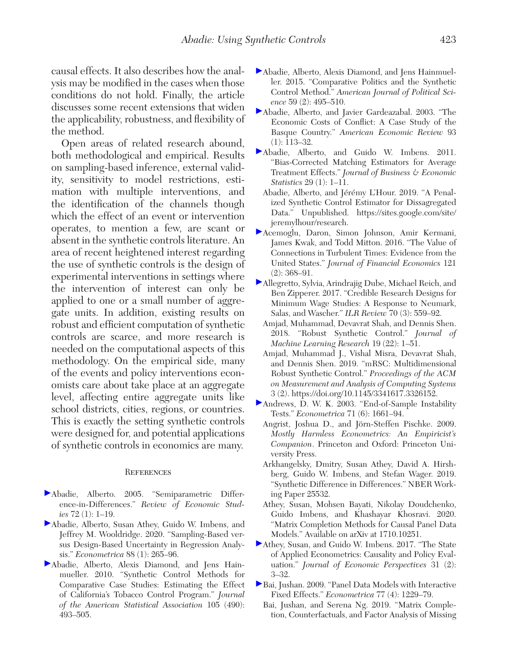causal effects. It also describes how the analysis may be modified in the cases when those conditions do not hold. Finally, the article discusses some recent extensions that widen the applicability, robustness, and flexibility of the method.

Open areas of related research abound, both methodological and empirical. Results on sampling-based inference, external validity, sensitivity to model restrictions, estimation with multiple interventions, and the identification of the channels though which the effect of an event or intervention operates, to mention a few, are scant or absent in the synthetic controls literature. An area of recent heightened interest regarding the use of synthetic controls is the design of experimental interventions in settings where the intervention of interest can only be applied to one or a small number of aggregate units. In addition, existing results on robust and efficient computation of synthetic controls are scarce, and more research is needed on the computational aspects of this methodology. On the empirical side, many of the events and policy interventions economists care about take place at an aggregate level, affecting entire aggregate units like school districts, cities, regions, or countries. This is exactly the setting synthetic controls were designed for, and potential applications of synthetic controls in economics are many.

#### **REFERENCES**

- Abadie, Alberto. 2005. "Semiparametric Difference-in-Differences." *Review of Economic Studies* 72 (1): 1–19.
- Abadie, Alberto, Susan Athey, Guido W. Imbens, and Jeffrey M. Wooldridge. 2020. "Sampling-Based versus Design-Based Uncertainty in Regression Analysis." *Econometrica* 88 (1): 265–96.
- Abadie, Alberto, Alexis Diamond, and Jens Hainmueller. 2010. "Synthetic Control Methods for Comparative Case Studies: Estimating the Effect of California's Tobacco Control Program." *Journal of the American Statistical Association* 105 (490): 493–505.
- Abadie, Alberto, Alexis Diamond, and Jens Hainmueller. 2015. "Comparative Politics and the Synthetic Control Method." *American Journal of Political Science* 59 (2): 495–510.
- Abadie, Alberto, and Javier Gardeazabal. 2003. "The Economic Costs of Conflict: A Case Study of the Basque Country." *American Economic Review* 93 (1): 113–32.
- Abadie, Alberto, and Guido W. Imbens. 2011. "Bias-Corrected Matching Estimators for Average Treatment Effects." *Journal of Business & Economic Statistics* 29 (1): 1–11.
- Abadie, Alberto, and Jérémy L'Hour. 2019. "A Penalized Synthetic Control Estimator for Dissagregated Data." Unpublished. [https://sites.google.com/site/](https://sites.google.com/site/jeremylhour/research) [jeremylhour/research](https://sites.google.com/site/jeremylhour/research).
- Acemoglu, Daron, Simon Johnson, Amir Kermani, James Kwak, and Todd Mitton. 2016. "The Value of Connections in Turbulent Times: Evidence from the United States." *Journal of Financial Economics* 121  $(2): 368 - 91.$
- Allegretto, Sylvia, Arindrajig Dube, Michael Reich, and Ben Zipperer. 2017. "Credible Research Designs for Minimum Wage Studies: A Response to Neumark, Salas, and Wascher." *ILR Review* 70 (3): 559–92.
	- Amjad, Muhammad, Devavrat Shah, and Dennis Shen. 2018. "Robust Synthetic Control." *Journal of Machine Learning Research* 19 (22): 1–51.
	- Amjad, Muhammad J., Vishal Misra, Devavrat Shah, and Dennis Shen. 2019. "mRSC: Multidimensional Robust Synthetic Control." *Proceedings of the ACM on Measurement and Analysis of Computing Systems* 3 (2). [https://doi.org/10.1145/3341617.3326152.](https://doi.org/10.1145/3341617.3326152)
- Andrews, D. W. K. 2003. "End-of-Sample Instability Tests." *Econometrica* 71 (6): 1661–94.
	- Angrist, Joshua D., and Jörn-Steffen Pischke. 2009. *Mostly Harmless Econometrics: An Empiricist's Companion*. Princeton and Oxford: Princeton University Press.
	- Arkhangelsky, Dmitry, Susan Athey, David A. Hirshberg, Guido W. Imbens, and Stefan Wager. 2019. "Synthetic Difference in Differences." NBER Working Paper 25532.
	- Athey, Susan, Mohsen Bayati, Nikolay Doudchenko, Guido Imbens, and Khashayar Khosravi. 2020. "Matrix Completion Methods for Causal Panel Data Models." Available on arXiv at 1710.10251.
- Athey, Susan, and Guido W. Imbens. 2017. "The State of Applied Econometrics: Causality and Policy Evaluation." *Journal of Economic Perspectives* 31 (2): 3–32.
- Bai, Jushan. 2009. "Panel Data Models with Interactive Fixed Effects." *Econometrica* 77 (4): 1229–79.
	- Bai, Jushan, and Serena Ng. 2019. "Matrix Completion, Counterfactuals, and Factor Analysis of Missing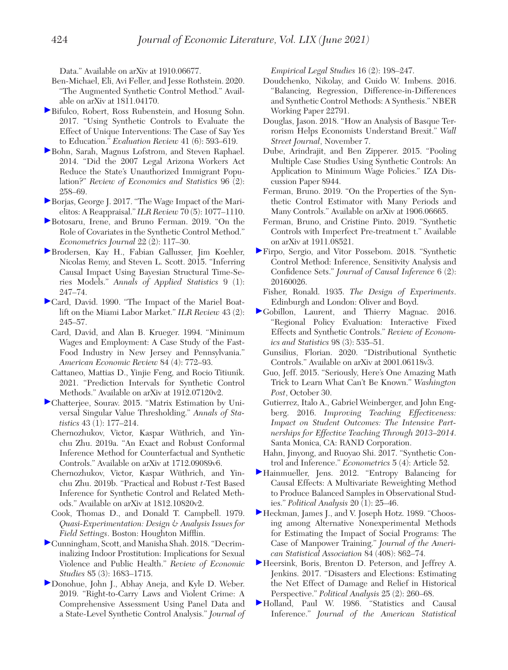Data." Available on arXiv at 1910.06677.

- Ben-Michael, Eli, Avi Feller, and Jesse Rothstein. 2020. "The Augmented Synthetic Control Method." Available on arXiv at 1811.04170.
- Bifulco, Robert, Ross Rubenstein, and Hosung Sohn. 2017. "Using Synthetic Controls to Evaluate the Effect of Unique Interventions: The Case of Say Yes to Education." *Evaluation Review* 41 (6): 593–619.
- Bohn, Sarah, Magnus Lofstrom, and Steven Raphael. 2014. "Did the 2007 Legal Arizona Workers Act Reduce the State's Unauthorized Immigrant Population?" *Review of Economics and Statistics* 96 (2): 258–69.
- Borjas, George J. 2017. "The Wage Impact of the Marielitos: A Reappraisal." *ILR Review* 70 (5): 1077–1110.
- Botosaru, Irene, and Bruno Ferman. 2019. "On the Role of Covariates in the Synthetic Control Method." *Econometrics Journal* 22 (2): 117–30.
- Brodersen, Kay H., Fabian Gallusser, Jim Koehler, Nicolas Remy, and Steven L. Scott. 2015. "Inferring Causal Impact Using Bayesian Structural Time-Series Models." *Annals of Applied Statistics* 9 (1): 247–74.
- Card, David. 1990. "The Impact of the Mariel Boatlift on the Miami Labor Market." *ILR Review* 43 (2): 245–57.
	- Card, David, and Alan B. Krueger. 1994. "Minimum Wages and Employment: A Case Study of the Fast-Food Industry in New Jersey and Pennsylvania." *American Economic Review* 84 (4): 772–93.
	- Cattaneo, Mattias D., Yinjie Feng, and Rocio Titiunik. 2021. "Prediction Intervals for Synthetic Control Methods." Available on arXiv at 1912.07120v2.
- Chatterjee, Sourav. 2015. "Matrix Estimation by Universal Singular Value Thresholding." *Annals of Statistics* 43 (1): 177–214.
	- Chernozhukov, Victor, Kaspar Wüthrich, and Yinchu Zhu. 2019a. "An Exact and Robust Conformal Inference Method for Counterfactual and Synthetic Controls." Available on arXiv at 1712.09089v6.
	- Chernozhukov, Victor, Kaspar Wüthrich, and Yinchu Zhu. 2019b. "Practical and Robust *t*-Test Based Inference for Synthetic Control and Related Methods." Available on arXiv at 1812.10820v2.
	- Cook, Thomas D., and Donald T. Campbell. 1979. *Quasi-Experimentation: Design & Analysis Issues for Field Settings*. Boston: Houghton Mifflin.
- Cunningham, Scott, and Manisha Shah. 2018. "Decriminalizing Indoor Prostitution: Implications for Sexual Violence and Public Health." *Review of Economic Studies* 85 (3): 1683–1715.
- Donohue, John J., Abhay Aneja, and Kyle D. Weber. 2019. "Right-to-Carry Laws and Violent Crime: A Comprehensive Assessment Using Panel Data and a State-Level Synthetic Control Analysis." *Journal of*

*Empirical Legal Studies* 16 (2): 198–247.

- Doudchenko, Nikolay, and Guido W. Imbens. 2016. "Balancing, Regression, Difference-in-Differences and Synthetic Control Methods: A Synthesis." NBER Working Paper 22791.
- Douglas, Jason. 2018. "How an Analysis of Basque Terrorism Helps Economists Understand Brexit." *Wall Street Journal*, November 7.
- Dube, Arindrajit, and Ben Zipperer. 2015. "Pooling Multiple Case Studies Using Synthetic Controls: An Application to Minimum Wage Policies." IZA Discussion Paper 8944.
- Ferman, Bruno. 2019. "On the Properties of the Synthetic Control Estimator with Many Periods and Many Controls." Available on arXiv at 1906.06665.
- Ferman, Bruno, and Cristine Pinto. 2019. "Synthetic Controls with Imperfect Pre-treatment t." Available on arXiv at 1911.08521.
- Firpo, Sergio, and Vitor Possebom. 2018. "Synthetic Control Method: Inference, Sensitivity Analysis and Confidence Sets." *Journal of Causal Inference* 6 (2): 20160026.
	- Fisher, Ronald. 1935. *The Design of Experiments*. Edinburgh and London: Oliver and Boyd.
- Gobillon, Laurent, and Thierry Magnac. 2016. "Regional Policy Evaluation: Interactive Fixed Effects and Synthetic Controls." *Review of Economics and Statistics* 98 (3): 535–51.
	- Gunsilius, Florian. 2020. "Distributional Synthetic Controls." Available on arXiv at 2001.06118v3.
	- Guo, Jeff. 2015. "Seriously, Here's One Amazing Math Trick to Learn What Can't Be Known." *Washington Post*, October 30.
	- Gutierrez, Italo A., Gabriel Weinberger, and John Engberg. 2016. *Improving Teaching Effectiveness: Impact on Student Outcomes: The Intensive Partnerships for Effective Teaching Through 2013–2014*. Santa Monica, CA: RAND Corporation.
	- Hahn, Jinyong, and Ruoyao Shi. 2017. "Synthetic Control and Inference." *Econometrics* 5 (4): Article 52.
- Hainmueller, Jens. 2012. "Entropy Balancing for Causal Effects: A Multivariate Reweighting Method to Produce Balanced Samples in Observational Studies." *Political Analysis* 20 (1): 25–46.
- Heckman, James J., and V. Joseph Hotz. 1989. "Choosing among Alternative Nonexperimental Methods for Estimating the Impact of Social Programs: The Case of Manpower Training." *Journal of the American Statistical Association* 84 (408): 862–74.
- Heersink, Boris, Brenton D. Peterson, and Jeffrey A. Jenkins. 2017. "Disasters and Elections: Estimating the Net Effect of Damage and Relief in Historical Perspective." *Political Analysis* 25 (2): 260–68.
- Holland, Paul W. 1986. "Statistics and Causal Inference." *Journal of the American Statistical*